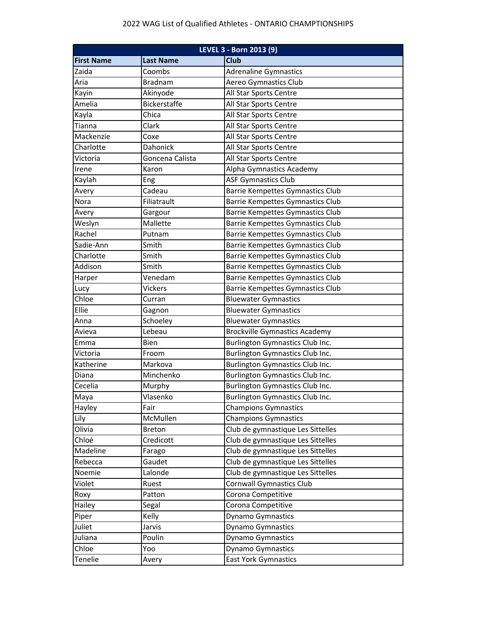| LEVEL 3 - Born 2013 (9) |                     |                                         |
|-------------------------|---------------------|-----------------------------------------|
| <b>First Name</b>       | <b>Last Name</b>    | <b>Club</b>                             |
| Zaida                   | Coombs              | <b>Adrenaline Gymnastics</b>            |
| Aria                    | <b>Bradnam</b>      | Aereo Gymnastics Club                   |
| Kayin                   | Akinyode            | All Star Sports Centre                  |
| Amelia                  | <b>Bickerstaffe</b> | All Star Sports Centre                  |
| Kayla                   | Chica               | All Star Sports Centre                  |
| Tianna                  | Clark               | All Star Sports Centre                  |
| Mackenzie               | Coxe                | All Star Sports Centre                  |
| Charlotte               | Dahonick            | All Star Sports Centre                  |
| Victoria                | Goncena Calista     | All Star Sports Centre                  |
| Irene                   | Karon               | Alpha Gymnastics Academy                |
| Kaylah                  | Eng                 | <b>ASF Gymnastics Club</b>              |
| Avery                   | Cadeau              | <b>Barrie Kempettes Gymnastics Club</b> |
| Nora                    | Filiatrault         | Barrie Kempettes Gymnastics Club        |
| Avery                   | Gargour             | Barrie Kempettes Gymnastics Club        |
| Weslyn                  | Mallette            | Barrie Kempettes Gymnastics Club        |
| Rachel                  | Putnam              | Barrie Kempettes Gymnastics Club        |
| Sadie-Ann               | Smith               | Barrie Kempettes Gymnastics Club        |
| Charlotte               | Smith               | Barrie Kempettes Gymnastics Club        |
| Addison                 | Smith               | Barrie Kempettes Gymnastics Club        |
| Harper                  | Venedam             | Barrie Kempettes Gymnastics Club        |
| Lucy                    | Vickers             | Barrie Kempettes Gymnastics Club        |
| Chloe                   | Curran              | <b>Bluewater Gymnastics</b>             |
| Ellie                   | Gagnon              | <b>Bluewater Gymnastics</b>             |
| Anna                    | Schoeley            | <b>Bluewater Gymnastics</b>             |
| Avieva                  | Lebeau              | <b>Brockville Gymnastics Academy</b>    |
| Emma                    | Bien                | Burlington Gymnastics Club Inc.         |
| Victoria                | Froom               | Burlington Gymnastics Club Inc.         |
| Katherine               | Markova             | Burlington Gymnastics Club Inc.         |
| Diana                   | Minchenko           | <b>Burlington Gymnastics Club Inc.</b>  |
| Cecelia                 | Murphy              | Burlington Gymnastics Club Inc.         |
| Maya                    | Vlasenko            | Burlington Gymnastics Club Inc.         |
| Hayley                  | Fair                | <b>Champions Gymnastics</b>             |
| Lily                    | McMullen            | <b>Champions Gymnastics</b>             |
| Olivia                  | <b>Breton</b>       | Club de gymnastique Les Sittelles       |
| Chloé                   | Credicott           | Club de gymnastique Les Sittelles       |
| Madeline                | Farago              | Club de gymnastique Les Sittelles       |
| Rebecca                 | Gaudet              | Club de gymnastique Les Sittelles       |
| Noemie                  | Lalonde             | Club de gymnastique Les Sittelles       |
| Violet                  | Ruest               | Cornwall Gymnastics Club                |
| Roxy                    | Patton              | Corona Competitive                      |
| Hailey                  | Segal               | Corona Competitive                      |
| Piper                   | Kelly               | <b>Dynamo Gymnastics</b>                |
| Juliet                  | Jarvis              | <b>Dynamo Gymnastics</b>                |
| Juliana                 | Poulin              | <b>Dynamo Gymnastics</b>                |
| Chloe                   | Yoo                 | Dynamo Gymnastics                       |
| Tenelie                 | Avery               | <b>East York Gymnastics</b>             |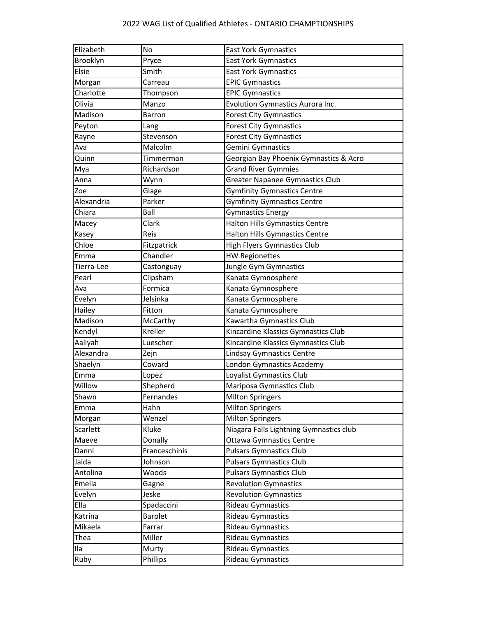| Elizabeth  | No             | <b>East York Gymnastics</b>             |
|------------|----------------|-----------------------------------------|
| Brooklyn   | Pryce          | <b>East York Gymnastics</b>             |
| Elsie      | Smith          | <b>East York Gymnastics</b>             |
| Morgan     | Carreau        | <b>EPIC Gymnastics</b>                  |
| Charlotte  | Thompson       | <b>EPIC Gymnastics</b>                  |
| Olivia     | Manzo          | Evolution Gymnastics Aurora Inc.        |
| Madison    | <b>Barron</b>  | <b>Forest City Gymnastics</b>           |
| Peyton     | Lang           | <b>Forest City Gymnastics</b>           |
| Rayne      | Stevenson      | <b>Forest City Gymnastics</b>           |
| Ava        | Malcolm        | Gemini Gymnastics                       |
| Quinn      | Timmerman      | Georgian Bay Phoenix Gymnastics & Acro  |
| Mya        | Richardson     | <b>Grand River Gymmies</b>              |
| Anna       | Wynn           | <b>Greater Napanee Gymnastics Club</b>  |
| Zoe        | Glage          | <b>Gymfinity Gymnastics Centre</b>      |
| Alexandria | Parker         | <b>Gymfinity Gymnastics Centre</b>      |
| Chiara     | Ball           | <b>Gymnastics Energy</b>                |
| Macey      | Clark          | <b>Halton Hills Gymnastics Centre</b>   |
| Kasey      | Reis           | <b>Halton Hills Gymnastics Centre</b>   |
| Chloe      | Fitzpatrick    | <b>High Flyers Gymnastics Club</b>      |
| Emma       | Chandler       | <b>HW Regionettes</b>                   |
| Tierra-Lee | Castonguay     | Jungle Gym Gymnastics                   |
| Pearl      | Clipsham       | Kanata Gymnosphere                      |
| Ava        | Formica        | Kanata Gymnosphere                      |
| Evelyn     | Jelsinka       | Kanata Gymnosphere                      |
| Hailey     | Fitton         | Kanata Gymnosphere                      |
| Madison    | McCarthy       | Kawartha Gymnastics Club                |
| Kendyl     | Kreller        | Kincardine Klassics Gymnastics Club     |
| Aaliyah    | Luescher       | Kincardine Klassics Gymnastics Club     |
| Alexandra  | Zejn           | Lindsay Gymnastics Centre               |
| Shaelyn    | Coward         | London Gymnastics Academy               |
| Emma       | Lopez          | Loyalist Gymnastics Club                |
| Willow     | Shepherd       | Mariposa Gymnastics Club                |
| Shawn      | Fernandes      | <b>Milton Springers</b>                 |
| Emma       | Hahn           | <b>Milton Springers</b>                 |
| Morgan     | Wenzel         | <b>Milton Springers</b>                 |
| Scarlett   | Kluke          | Niagara Falls Lightning Gymnastics club |
| Maeve      | Donally        | Ottawa Gymnastics Centre                |
| Danni      | Franceschinis  | <b>Pulsars Gymnastics Club</b>          |
| Jaida      | Johnson        | <b>Pulsars Gymnastics Club</b>          |
| Antolina   | Woods          | <b>Pulsars Gymnastics Club</b>          |
| Emelia     | Gagne          | <b>Revolution Gymnastics</b>            |
| Evelyn     | Jeske          | <b>Revolution Gymnastics</b>            |
| Ella       | Spadaccini     | Rideau Gymnastics                       |
| Katrina    | <b>Barolet</b> | Rideau Gymnastics                       |
| Mikaela    | Farrar         | Rideau Gymnastics                       |
| Thea       | Miller         | Rideau Gymnastics                       |
| Ila        | Murty          | Rideau Gymnastics                       |
| Ruby       | Phillips       | Rideau Gymnastics                       |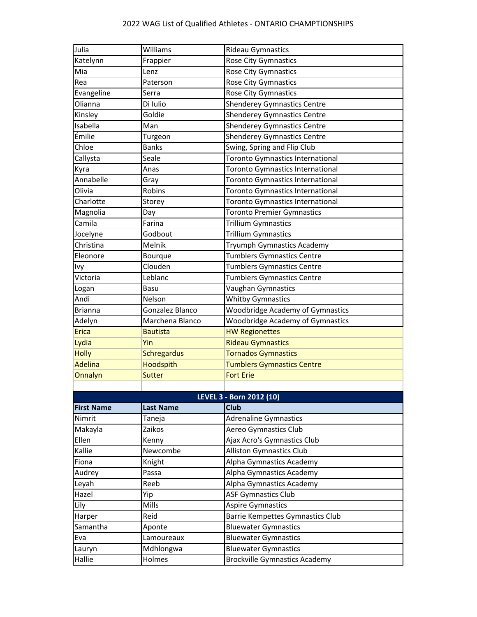| Julia             | Williams           | Rideau Gymnastics                       |
|-------------------|--------------------|-----------------------------------------|
| Katelynn          | Frappier           | Rose City Gymnastics                    |
| Mia               | Lenz               | Rose City Gymnastics                    |
| Rea               | Paterson           | Rose City Gymnastics                    |
| Evangeline        | Serra              | <b>Rose City Gymnastics</b>             |
| Olianna           | Di Iulio           | Shenderey Gymnastics Centre             |
| Kinsley           | Goldie             | <b>Shenderey Gymnastics Centre</b>      |
| Isabella          | Man                | <b>Shenderey Gymnastics Centre</b>      |
| Émilie            | Turgeon            | <b>Shenderey Gymnastics Centre</b>      |
| Chloe             | <b>Banks</b>       | Swing, Spring and Flip Club             |
| Callysta          | Seale              | Toronto Gymnastics International        |
| Kyra              | Anas               | Toronto Gymnastics International        |
| Annabelle         | Gray               | Toronto Gymnastics International        |
| Olivia            | Robins             | Toronto Gymnastics International        |
| Charlotte         | Storey             | Toronto Gymnastics International        |
| Magnolia          | Day                | <b>Toronto Premier Gymnastics</b>       |
| Camila            | Farina             | Trillium Gymnastics                     |
| Jocelyne          | Godbout            | Trillium Gymnastics                     |
| Christina         | Melnik             | Tryumph Gymnastics Academy              |
| Eleonore          | Bourque            | <b>Tumblers Gymnastics Centre</b>       |
| Ivy               | Clouden            | <b>Tumblers Gymnastics Centre</b>       |
| Victoria          | Leblanc            | <b>Tumblers Gymnastics Centre</b>       |
| Logan             | Basu               | Vaughan Gymnastics                      |
| Andi              | Nelson             | <b>Whitby Gymnastics</b>                |
| <b>Brianna</b>    | Gonzalez Blanco    | <b>Woodbridge Academy of Gymnastics</b> |
| Adelyn            | Marchena Blanco    | <b>Woodbridge Academy of Gymnastics</b> |
| <b>Erica</b>      | <b>Bautista</b>    | <b>HW Regionettes</b>                   |
| Lydia             | Yin                | <b>Rideau Gymnastics</b>                |
| <b>Holly</b>      | <b>Schregardus</b> | <b>Tornados Gymnastics</b>              |
| <b>Adelina</b>    | Hoodspith          | <b>Tumblers Gymnastics Centre</b>       |
| Onnalyn           | <b>Sutter</b>      | <b>Fort Erie</b>                        |
|                   |                    |                                         |
|                   |                    | LEVEL 3 - Born 2012 (10)                |
| <b>First Name</b> | <b>Last Name</b>   | <b>Club</b>                             |
| Nimrit            | Taneja             | <b>Adrenaline Gymnastics</b>            |
| Makayla           | Zaikos             | Aereo Gymnastics Club                   |
| Ellen             | Kenny              | Ajax Acro's Gymnastics Club             |
| Kallie            | Newcombe           | <b>Alliston Gymnastics Club</b>         |
| Fiona             | Knight             | Alpha Gymnastics Academy                |
| Audrey            | Passa              | Alpha Gymnastics Academy                |
| Leyah             | Reeb               | Alpha Gymnastics Academy                |
| Hazel             | Yip                | <b>ASF Gymnastics Club</b>              |
| Lily              | Mills              | <b>Aspire Gymnastics</b>                |
| Harper            | Reid               | Barrie Kempettes Gymnastics Club        |
| Samantha          | Aponte             | <b>Bluewater Gymnastics</b>             |
| Eva               | Lamoureaux         | <b>Bluewater Gymnastics</b>             |
| Lauryn            | Mdhlongwa          | <b>Bluewater Gymnastics</b>             |
| Hallie            | Holmes             | <b>Brockville Gymnastics Academy</b>    |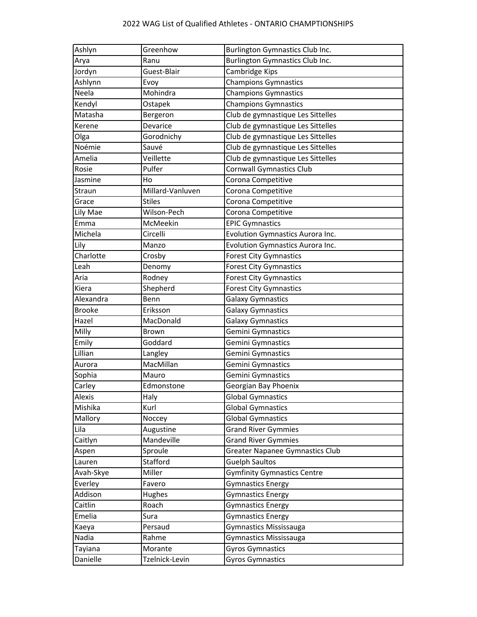| Ashlyn        | Greenhow         | <b>Burlington Gymnastics Club Inc.</b> |
|---------------|------------------|----------------------------------------|
| Arya          | Ranu             | Burlington Gymnastics Club Inc.        |
| Jordyn        | Guest-Blair      | Cambridge Kips                         |
| Ashlynn       | Evoy             | <b>Champions Gymnastics</b>            |
| Neela         | Mohindra         | <b>Champions Gymnastics</b>            |
| Kendyl        | Ostapek          | <b>Champions Gymnastics</b>            |
| Matasha       | Bergeron         | Club de gymnastique Les Sittelles      |
| Kerene        | Devarice         | Club de gymnastique Les Sittelles      |
| Olga          | Gorodnichy       | Club de gymnastique Les Sittelles      |
| Noémie        | Sauvé            | Club de gymnastique Les Sittelles      |
| Amelia        | Veillette        | Club de gymnastique Les Sittelles      |
| Rosie         | Pulfer           | <b>Cornwall Gymnastics Club</b>        |
| Jasmine       | Ho               | Corona Competitive                     |
| Straun        | Millard-Vanluven | Corona Competitive                     |
| Grace         | <b>Stiles</b>    | Corona Competitive                     |
| Lily Mae      | Wilson-Pech      | Corona Competitive                     |
| Emma          | McMeekin         | <b>EPIC Gymnastics</b>                 |
| Michela       | Circelli         | Evolution Gymnastics Aurora Inc.       |
| Lily          | Manzo            | Evolution Gymnastics Aurora Inc.       |
| Charlotte     | Crosby           | <b>Forest City Gymnastics</b>          |
| Leah          | Denomy           | <b>Forest City Gymnastics</b>          |
| Aria          | Rodney           | <b>Forest City Gymnastics</b>          |
| Kiera         | Shepherd         | <b>Forest City Gymnastics</b>          |
| Alexandra     | Benn             | <b>Galaxy Gymnastics</b>               |
| <b>Brooke</b> | Eriksson         | <b>Galaxy Gymnastics</b>               |
| Hazel         | MacDonald        | <b>Galaxy Gymnastics</b>               |
| Milly         | <b>Brown</b>     | Gemini Gymnastics                      |
| Emily         | Goddard          | Gemini Gymnastics                      |
| Lillian       | Langley          | Gemini Gymnastics                      |
| Aurora        | MacMillan        | Gemini Gymnastics                      |
| Sophia        | Mauro            | Gemini Gymnastics                      |
| Carley        | Edmonstone       | Georgian Bay Phoenix                   |
| Alexis        | Haly             | <b>Global Gymnastics</b>               |
| Mishika       | Kurl             | <b>Global Gymnastics</b>               |
| Mallory       | Noccey           | <b>Global Gymnastics</b>               |
| Lila          | Augustine        | <b>Grand River Gymmies</b>             |
| Caitlyn       | Mandeville       | <b>Grand River Gymmies</b>             |
| Aspen         | Sproule          | <b>Greater Napanee Gymnastics Club</b> |
| Lauren        | Stafford         | <b>Guelph Saultos</b>                  |
| Avah-Skye     | Miller           | <b>Gymfinity Gymnastics Centre</b>     |
| Everley       | Favero           | <b>Gymnastics Energy</b>               |
| Addison       | Hughes           | <b>Gymnastics Energy</b>               |
| Caitlin       | Roach            | <b>Gymnastics Energy</b>               |
| Emelia        | Sura             | <b>Gymnastics Energy</b>               |
| Kaeya         | Persaud          | Gymnastics Mississauga                 |
| Nadia         | Rahme            | Gymnastics Mississauga                 |
| Tayiana       | Morante          | <b>Gyros Gymnastics</b>                |
| Danielle      | Tzelnick-Levin   | <b>Gyros Gymnastics</b>                |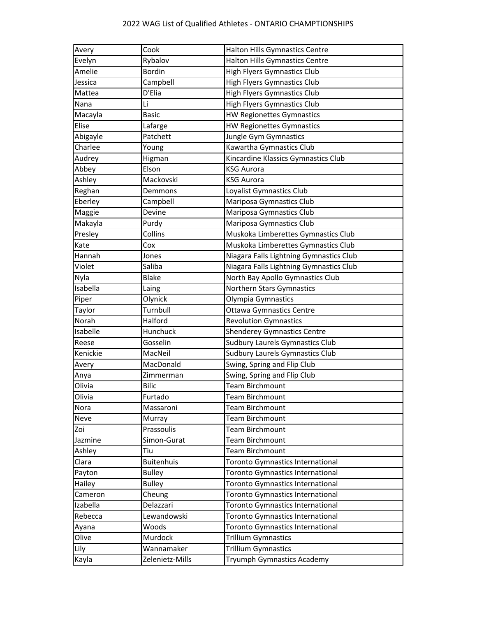| Avery    | Cook              | Halton Hills Gymnastics Centre          |
|----------|-------------------|-----------------------------------------|
| Evelyn   | Rybalov           | Halton Hills Gymnastics Centre          |
| Amelie   | <b>Bordin</b>     | <b>High Flyers Gymnastics Club</b>      |
| Jessica  | Campbell          | <b>High Flyers Gymnastics Club</b>      |
| Mattea   | D'Elia            | <b>High Flyers Gymnastics Club</b>      |
| Nana     | Li                | High Flyers Gymnastics Club             |
| Macayla  | <b>Basic</b>      | <b>HW Regionettes Gymnastics</b>        |
| Elise    | Lafarge           | <b>HW Regionettes Gymnastics</b>        |
| Abigayle | Patchett          | Jungle Gym Gymnastics                   |
| Charlee  | Young             | Kawartha Gymnastics Club                |
| Audrey   | Higman            | Kincardine Klassics Gymnastics Club     |
| Abbey    | Elson             | <b>KSG Aurora</b>                       |
| Ashley   | Mackovski         | <b>KSG Aurora</b>                       |
| Reghan   | Demmons           | Loyalist Gymnastics Club                |
| Eberley  | Campbell          | Mariposa Gymnastics Club                |
| Maggie   | Devine            | Mariposa Gymnastics Club                |
| Makayla  | Purdy             | Mariposa Gymnastics Club                |
| Presley  | Collins           | Muskoka Limberettes Gymnastics Club     |
| Kate     | Cox               | Muskoka Limberettes Gymnastics Club     |
| Hannah   | Jones             | Niagara Falls Lightning Gymnastics Club |
| Violet   | Saliba            | Niagara Falls Lightning Gymnastics Club |
| Nyla     | <b>Blake</b>      | North Bay Apollo Gymnastics Club        |
| Isabella | Laing             | Northern Stars Gymnastics               |
| Piper    | Olynick           | Olympia Gymnastics                      |
| Taylor   | Turnbull          | Ottawa Gymnastics Centre                |
| Norah    | Halford           | <b>Revolution Gymnastics</b>            |
| Isabelle | Hunchuck          | <b>Shenderey Gymnastics Centre</b>      |
| Reese    | Gosselin          | <b>Sudbury Laurels Gymnastics Club</b>  |
| Kenickie | MacNeil           | <b>Sudbury Laurels Gymnastics Club</b>  |
| Avery    | MacDonald         | Swing, Spring and Flip Club             |
| Anya     | Zimmerman         | Swing, Spring and Flip Club             |
| Olivia   | <b>Bilic</b>      | Team Birchmount                         |
| Olivia   | Furtado           | Team Birchmount                         |
| Nora     | Massaroni         | Team Birchmount                         |
| Neve     | Murray            | Team Birchmount                         |
| Zoi      | Prassoulis        | Team Birchmount                         |
| Jazmine  | Simon-Gurat       | Team Birchmount                         |
| Ashley   | Tiu               | Team Birchmount                         |
| Clara    | <b>Buitenhuis</b> | Toronto Gymnastics International        |
| Payton   | <b>Bulley</b>     | Toronto Gymnastics International        |
| Hailey   | <b>Bulley</b>     | Toronto Gymnastics International        |
| Cameron  | Cheung            | Toronto Gymnastics International        |
| Izabella | Delazzari         | Toronto Gymnastics International        |
| Rebecca  | Lewandowski       | Toronto Gymnastics International        |
| Ayana    | Woods             | Toronto Gymnastics International        |
| Olive    | Murdock           | Trillium Gymnastics                     |
| Lily     | Wannamaker        | Trillium Gymnastics                     |
| Kayla    | Zelenietz-Mills   | Tryumph Gymnastics Academy              |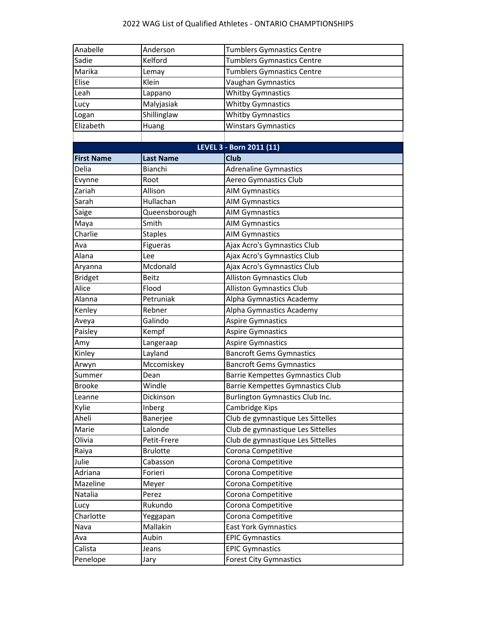| Anabelle          | Anderson         | <b>Tumblers Gymnastics Centre</b>       |
|-------------------|------------------|-----------------------------------------|
| Sadie             | Kelford          | <b>Tumblers Gymnastics Centre</b>       |
| Marika            | Lemay            | <b>Tumblers Gymnastics Centre</b>       |
| Elise             | Klein            | Vaughan Gymnastics                      |
| Leah              | Lappano          | <b>Whitby Gymnastics</b>                |
| Lucy              | Malyjasiak       | <b>Whitby Gymnastics</b>                |
| Logan             | Shillinglaw      | <b>Whitby Gymnastics</b>                |
| Elizabeth         | Huang            | <b>Winstars Gymnastics</b>              |
|                   |                  |                                         |
|                   |                  | LEVEL 3 - Born 2011 (11)                |
| <b>First Name</b> | <b>Last Name</b> | <b>Club</b>                             |
| Delia             | Bianchi          | <b>Adrenaline Gymnastics</b>            |
| Evynne            | Root             | Aereo Gymnastics Club                   |
| Zariah            | Allison          | <b>AIM Gymnastics</b>                   |
| Sarah             | Hullachan        | <b>AIM Gymnastics</b>                   |
| Saige             | Queensborough    | <b>AIM Gymnastics</b>                   |
| Maya              | Smith            | <b>AIM Gymnastics</b>                   |
| Charlie           | <b>Staples</b>   | <b>AIM Gymnastics</b>                   |
| Ava               | Figueras         | Ajax Acro's Gymnastics Club             |
| Alana             | Lee              | Ajax Acro's Gymnastics Club             |
| Aryanna           | Mcdonald         | Ajax Acro's Gymnastics Club             |
| <b>Bridget</b>    | Beitz            | <b>Alliston Gymnastics Club</b>         |
| Alice             | Flood            | <b>Alliston Gymnastics Club</b>         |
| Alanna            | Petruniak        | Alpha Gymnastics Academy                |
| Kenley            | Rebner           | Alpha Gymnastics Academy                |
| Aveya             | Galindo          | <b>Aspire Gymnastics</b>                |
| Paisley           | Kempf            | <b>Aspire Gymnastics</b>                |
| Amy               | Langeraap        | <b>Aspire Gymnastics</b>                |
| Kinley            | Layland          | <b>Bancroft Gems Gymnastics</b>         |
| Arwyn             | Mccomiskey       | <b>Bancroft Gems Gymnastics</b>         |
| Summer            | Dean             | <b>Barrie Kempettes Gymnastics Club</b> |
| <b>Brooke</b>     | Windle           | Barrie Kempettes Gymnastics Club        |
| Leanne            | Dickinson        | <b>Burlington Gymnastics Club Inc.</b>  |
| Kylie             | Inberg           | Cambridge Kips                          |
| Aheli             | Banerjee         | Club de gymnastique Les Sittelles       |
| Marie             | Lalonde          | Club de gymnastique Les Sittelles       |
| Olivia            | Petit-Frere      | Club de gymnastique Les Sittelles       |
| Raiya             | <b>Brulotte</b>  | Corona Competitive                      |
| Julie             | Cabasson         | Corona Competitive                      |
| Adriana           | Forieri          | Corona Competitive                      |
| Mazeline          | Meyer            | Corona Competitive                      |
| Natalia           | Perez            | Corona Competitive                      |
| Lucy              | Rukundo          | Corona Competitive                      |
| Charlotte         | Yeggapan         | Corona Competitive                      |
| Nava              | Mallakin         | <b>East York Gymnastics</b>             |
| Ava               | Aubin            | <b>EPIC Gymnastics</b>                  |
| Calista           | Jeans            | <b>EPIC Gymnastics</b>                  |
| Penelope          | Jary             | <b>Forest City Gymnastics</b>           |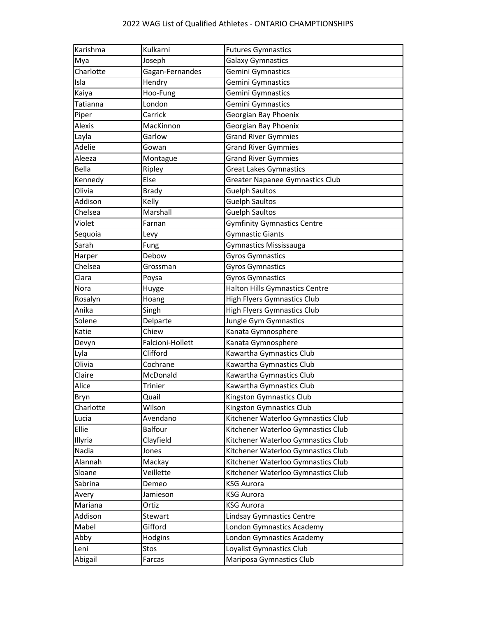| Karishma  | Kulkarni         | <b>Futures Gymnastics</b>              |
|-----------|------------------|----------------------------------------|
| Mya       | Joseph           | Galaxy Gymnastics                      |
| Charlotte | Gagan-Fernandes  | Gemini Gymnastics                      |
| Isla      | Hendry           | Gemini Gymnastics                      |
| Kaiya     | Hoo-Fung         | Gemini Gymnastics                      |
| Tatianna  | London           | Gemini Gymnastics                      |
| Piper     | Carrick          | Georgian Bay Phoenix                   |
| Alexis    | MacKinnon        | Georgian Bay Phoenix                   |
| Layla     | Garlow           | <b>Grand River Gymmies</b>             |
| Adelie    | Gowan            | <b>Grand River Gymmies</b>             |
| Aleeza    | Montague         | <b>Grand River Gymmies</b>             |
| Bella     | Ripley           | <b>Great Lakes Gymnastics</b>          |
| Kennedy   | Else             | <b>Greater Napanee Gymnastics Club</b> |
| Olivia    | <b>Brady</b>     | <b>Guelph Saultos</b>                  |
| Addison   | Kelly            | <b>Guelph Saultos</b>                  |
| Chelsea   | Marshall         | <b>Guelph Saultos</b>                  |
| Violet    | Farnan           | <b>Gymfinity Gymnastics Centre</b>     |
| Sequoia   | Levy             | <b>Gymnastic Giants</b>                |
| Sarah     | Fung             | Gymnastics Mississauga                 |
| Harper    | Debow            | <b>Gyros Gymnastics</b>                |
| Chelsea   | Grossman         | <b>Gyros Gymnastics</b>                |
| Clara     | Poysa            | Gyros Gymnastics                       |
| Nora      | Huyge            | Halton Hills Gymnastics Centre         |
| Rosalyn   | Hoang            | High Flyers Gymnastics Club            |
| Anika     | Singh            | <b>High Flyers Gymnastics Club</b>     |
| Solene    | Delparte         | Jungle Gym Gymnastics                  |
| Katie     | Chiew            | Kanata Gymnosphere                     |
| Devyn     | Falcioni-Hollett | Kanata Gymnosphere                     |
| Lyla      | Clifford         | Kawartha Gymnastics Club               |
| Olivia    | Cochrane         | Kawartha Gymnastics Club               |
| Claire    | McDonald         | Kawartha Gymnastics Club               |
| Alice     | Trinier          | Kawartha Gymnastics Club               |
| Bryn      | Quail            | Kingston Gymnastics Club               |
| Charlotte | Wilson           | Kingston Gymnastics Club               |
| Lucia     | Avendano         | Kitchener Waterloo Gymnastics Club     |
| Ellie     | <b>Balfour</b>   | Kitchener Waterloo Gymnastics Club     |
| Illyria   | Clayfield        | Kitchener Waterloo Gymnastics Club     |
| Nadia     | Jones            | Kitchener Waterloo Gymnastics Club     |
| Alannah   | Mackay           | Kitchener Waterloo Gymnastics Club     |
| Sloane    | Veillette        | Kitchener Waterloo Gymnastics Club     |
| Sabrina   | Demeo            | <b>KSG Aurora</b>                      |
| Avery     | Jamieson         | <b>KSG Aurora</b>                      |
| Mariana   | Ortiz            | <b>KSG Aurora</b>                      |
| Addison   | Stewart          | Lindsay Gymnastics Centre              |
| Mabel     | Gifford          | London Gymnastics Academy              |
| Abby      | Hodgins          | London Gymnastics Academy              |
| Leni      | Stos             | Loyalist Gymnastics Club               |
| Abigail   | Farcas           | Mariposa Gymnastics Club               |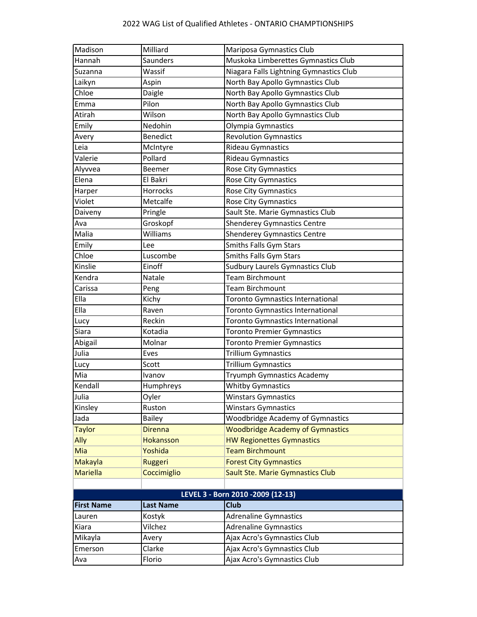| Madison           | Milliard         | Mariposa Gymnastics Club                |
|-------------------|------------------|-----------------------------------------|
| Hannah            | Saunders         | Muskoka Limberettes Gymnastics Club     |
| Suzanna           | Wassif           | Niagara Falls Lightning Gymnastics Club |
| Laikyn            | Aspin            | North Bay Apollo Gymnastics Club        |
| Chloe             | Daigle           | North Bay Apollo Gymnastics Club        |
| Emma              | Pilon            | North Bay Apollo Gymnastics Club        |
| Atirah            | Wilson           | North Bay Apollo Gymnastics Club        |
| Emily             | Nedohin          | Olympia Gymnastics                      |
| Avery             | <b>Benedict</b>  | <b>Revolution Gymnastics</b>            |
| Leia              | McIntyre         | Rideau Gymnastics                       |
| Valerie           | Pollard          | <b>Rideau Gymnastics</b>                |
| Alyvvea           | Beemer           | Rose City Gymnastics                    |
| Elena             | El Bakri         | <b>Rose City Gymnastics</b>             |
| Harper            | Horrocks         | <b>Rose City Gymnastics</b>             |
| Violet            | Metcalfe         | Rose City Gymnastics                    |
| Daiveny           | Pringle          | Sault Ste. Marie Gymnastics Club        |
| Ava               | Groskopf         | <b>Shenderey Gymnastics Centre</b>      |
| Malia             | Williams         | <b>Shenderey Gymnastics Centre</b>      |
| Emily             | Lee              | Smiths Falls Gym Stars                  |
| Chloe             | Luscombe         | <b>Smiths Falls Gym Stars</b>           |
| Kinslie           | Einoff           | <b>Sudbury Laurels Gymnastics Club</b>  |
| Kendra            | Natale           | <b>Team Birchmount</b>                  |
| Carissa           | Peng             | <b>Team Birchmount</b>                  |
| Ella              | Kichy            | Toronto Gymnastics International        |
| Ella              | Raven            | Toronto Gymnastics International        |
| Lucy              | Reckin           | Toronto Gymnastics International        |
| Siara             | Kotadia          | <b>Toronto Premier Gymnastics</b>       |
| Abigail           | Molnar           | <b>Toronto Premier Gymnastics</b>       |
| Julia             | Eves             | Trillium Gymnastics                     |
| Lucy              | Scott            | <b>Trillium Gymnastics</b>              |
| Mia               | Ivanov           | Tryumph Gymnastics Academy              |
| Kendall           | Humphreys        | <b>Whitby Gymnastics</b>                |
| Julia             | Oyler            | <b>Winstars Gymnastics</b>              |
| Kinsley           | Ruston           | <b>Winstars Gymnastics</b>              |
| Jada              | <b>Bailey</b>    | <b>Woodbridge Academy of Gymnastics</b> |
| <b>Taylor</b>     | <b>Direnna</b>   | <b>Woodbridge Academy of Gymnastics</b> |
| Ally              | <b>Hokansson</b> | <b>HW Regionettes Gymnastics</b>        |
| Mia               | Yoshida          | <b>Team Birchmount</b>                  |
| Makayla           | <b>Ruggeri</b>   | <b>Forest City Gymnastics</b>           |
| <b>Mariella</b>   | Coccimiglio      | Sault Ste. Marie Gymnastics Club        |
|                   |                  |                                         |
|                   |                  | LEVEL 3 - Born 2010 - 2009 (12-13)      |
| <b>First Name</b> | <b>Last Name</b> | Club                                    |
| Lauren            | Kostyk           | <b>Adrenaline Gymnastics</b>            |
| Kiara             | Vilchez          | <b>Adrenaline Gymnastics</b>            |
| Mikayla           | Avery            | Ajax Acro's Gymnastics Club             |
| Emerson           | Clarke           | Ajax Acro's Gymnastics Club             |
| Ava               | Florio           | Ajax Acro's Gymnastics Club             |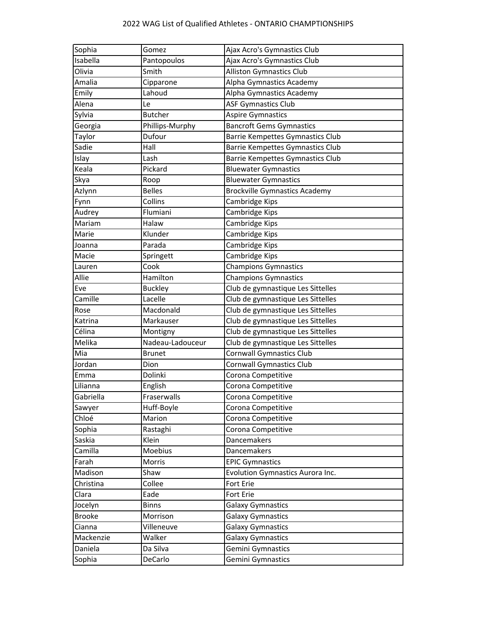| Sophia        | Gomez            | Ajax Acro's Gymnastics Club             |
|---------------|------------------|-----------------------------------------|
| Isabella      | Pantopoulos      | Ajax Acro's Gymnastics Club             |
| Olivia        | Smith            | <b>Alliston Gymnastics Club</b>         |
| Amalia        | Cipparone        | Alpha Gymnastics Academy                |
| Emily         | Lahoud           | Alpha Gymnastics Academy                |
| Alena         | Le               | <b>ASF Gymnastics Club</b>              |
| Sylvia        | <b>Butcher</b>   | <b>Aspire Gymnastics</b>                |
| Georgia       | Phillips-Murphy  | <b>Bancroft Gems Gymnastics</b>         |
| Taylor        | Dufour           | Barrie Kempettes Gymnastics Club        |
| Sadie         | Hall             | Barrie Kempettes Gymnastics Club        |
| Islay         | Lash             | Barrie Kempettes Gymnastics Club        |
| Keala         | Pickard          | <b>Bluewater Gymnastics</b>             |
| Skya          | Roop             | <b>Bluewater Gymnastics</b>             |
| Azlynn        | <b>Belles</b>    | <b>Brockville Gymnastics Academy</b>    |
| Fynn          | Collins          | Cambridge Kips                          |
| Audrey        | Flumiani         | Cambridge Kips                          |
| Mariam        | Halaw            | Cambridge Kips                          |
| Marie         | Klunder          | Cambridge Kips                          |
| Joanna        | Parada           | Cambridge Kips                          |
| Macie         | Springett        | Cambridge Kips                          |
| Lauren        | Cook             | <b>Champions Gymnastics</b>             |
| Allie         | Hamilton         | <b>Champions Gymnastics</b>             |
| Eve           | <b>Buckley</b>   | Club de gymnastique Les Sittelles       |
| Camille       | Lacelle          | Club de gymnastique Les Sittelles       |
| Rose          | Macdonald        | Club de gymnastique Les Sittelles       |
| Katrina       | Markauser        | Club de gymnastique Les Sittelles       |
| Célina        | Montigny         | Club de gymnastique Les Sittelles       |
| Melika        | Nadeau-Ladouceur | Club de gymnastique Les Sittelles       |
| Mia           | <b>Brunet</b>    | Cornwall Gymnastics Club                |
| Jordan        | Dion             | <b>Cornwall Gymnastics Club</b>         |
| Emma          | Dolinki          | Corona Competitive                      |
| Lilianna      | English          | Corona Competitive                      |
| Gabriella     | Fraserwalls      | Corona Competitive                      |
| Sawyer        | Huff-Boyle       | Corona Competitive                      |
| Chloé         | Marion           | Corona Competitive                      |
| Sophia        | Rastaghi         | Corona Competitive                      |
| Saskia        | Klein            | Dancemakers                             |
| Camilla       | Moebius          | Dancemakers                             |
| Farah         | Morris           | <b>EPIC Gymnastics</b>                  |
| Madison       | Shaw             | <b>Evolution Gymnastics Aurora Inc.</b> |
| Christina     | Collee           | Fort Erie                               |
| Clara         | Eade             | Fort Erie                               |
| Jocelyn       | <b>Binns</b>     | Galaxy Gymnastics                       |
| <b>Brooke</b> | Morrison         | Galaxy Gymnastics                       |
| Cianna        | Villeneuve       | Galaxy Gymnastics                       |
| Mackenzie     | Walker           | <b>Galaxy Gymnastics</b>                |
| Daniela       | Da Silva         | Gemini Gymnastics                       |
| Sophia        | DeCarlo          | Gemini Gymnastics                       |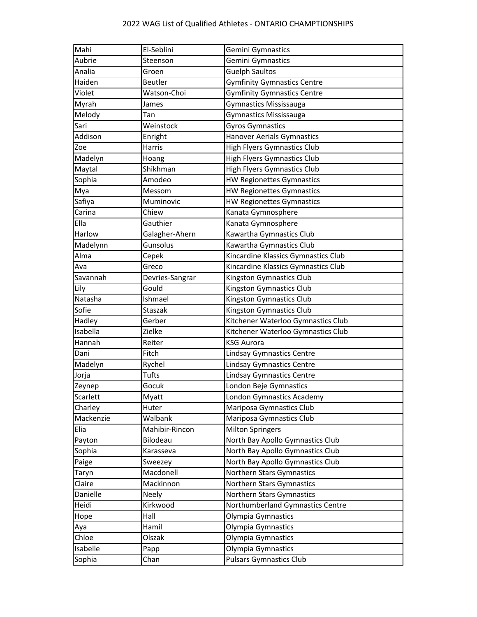| Mahi      | El-Seblini      | Gemini Gymnastics                   |
|-----------|-----------------|-------------------------------------|
| Aubrie    | Steenson        | Gemini Gymnastics                   |
| Analia    | Groen           | <b>Guelph Saultos</b>               |
| Haiden    | Beutler         | <b>Gymfinity Gymnastics Centre</b>  |
| Violet    | Watson-Choi     | <b>Gymfinity Gymnastics Centre</b>  |
| Myrah     | James           | Gymnastics Mississauga              |
| Melody    | Tan             | Gymnastics Mississauga              |
| Sari      | Weinstock       | <b>Gyros Gymnastics</b>             |
| Addison   | Enright         | <b>Hanover Aerials Gymnastics</b>   |
| Zoe       | Harris          | <b>High Flyers Gymnastics Club</b>  |
| Madelyn   | Hoang           | <b>High Flyers Gymnastics Club</b>  |
| Maytal    | Shikhman        | <b>High Flyers Gymnastics Club</b>  |
| Sophia    | Amodeo          | <b>HW Regionettes Gymnastics</b>    |
| Mya       | Messom          | <b>HW Regionettes Gymnastics</b>    |
| Safiya    | Muminovic       | <b>HW Regionettes Gymnastics</b>    |
| Carina    | Chiew           | Kanata Gymnosphere                  |
| Ella      | Gauthier        | Kanata Gymnosphere                  |
| Harlow    | Galagher-Ahern  | Kawartha Gymnastics Club            |
| Madelynn  | Gunsolus        | Kawartha Gymnastics Club            |
| Alma      | Cepek           | Kincardine Klassics Gymnastics Club |
| Ava       | Greco           | Kincardine Klassics Gymnastics Club |
| Savannah  | Devries-Sangrar | Kingston Gymnastics Club            |
| Lily      | Gould           | Kingston Gymnastics Club            |
| Natasha   | Ishmael         | <b>Kingston Gymnastics Club</b>     |
| Sofie     | Staszak         | Kingston Gymnastics Club            |
| Hadley    | Gerber          | Kitchener Waterloo Gymnastics Club  |
| Isabella  | Zielke          | Kitchener Waterloo Gymnastics Club  |
| Hannah    | Reiter          | <b>KSG Aurora</b>                   |
| Dani      | Fitch           | Lindsay Gymnastics Centre           |
| Madelyn   | Rychel          | <b>Lindsay Gymnastics Centre</b>    |
| Jorja     | Tufts           | <b>Lindsay Gymnastics Centre</b>    |
| Zeynep    | Gocuk           | London Beje Gymnastics              |
| Scarlett  | Myatt           | London Gymnastics Academy           |
| Charley   | Huter           | Mariposa Gymnastics Club            |
| Mackenzie | Walbank         | Mariposa Gymnastics Club            |
| Elia      | Mahibir-Rincon  | <b>Milton Springers</b>             |
| Payton    | Bilodeau        | North Bay Apollo Gymnastics Club    |
| Sophia    | Karasseva       | North Bay Apollo Gymnastics Club    |
| Paige     | Sweezey         | North Bay Apollo Gymnastics Club    |
| Taryn     | Macdonell       | Northern Stars Gymnastics           |
| Claire    | Mackinnon       | Northern Stars Gymnastics           |
| Danielle  | Neely           | Northern Stars Gymnastics           |
| Heidi     | Kirkwood        | Northumberland Gymnastics Centre    |
| Hope      | Hall            | Olympia Gymnastics                  |
| Aya       | Hamil           | Olympia Gymnastics                  |
| Chloe     | Olszak          | Olympia Gymnastics                  |
| Isabelle  | Papp            | Olympia Gymnastics                  |
| Sophia    | Chan            | <b>Pulsars Gymnastics Club</b>      |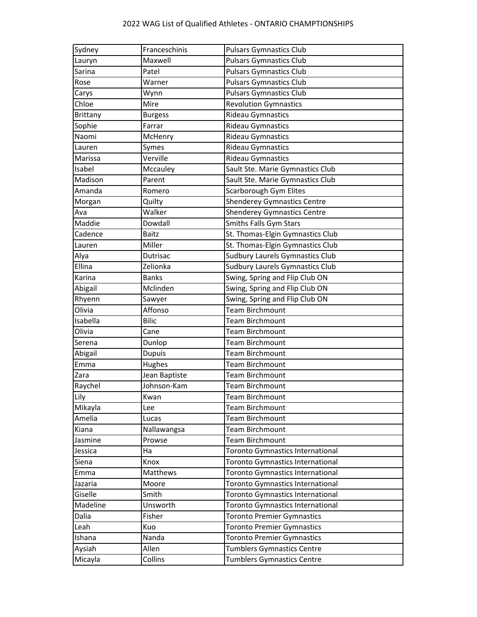| Sydney   | Franceschinis  | <b>Pulsars Gymnastics Club</b>          |
|----------|----------------|-----------------------------------------|
| Lauryn   | Maxwell        | <b>Pulsars Gymnastics Club</b>          |
| Sarina   | Patel          | <b>Pulsars Gymnastics Club</b>          |
| Rose     | Warner         | <b>Pulsars Gymnastics Club</b>          |
| Carys    | Wynn           | <b>Pulsars Gymnastics Club</b>          |
| Chloe    | Mire           | <b>Revolution Gymnastics</b>            |
| Brittany | <b>Burgess</b> | Rideau Gymnastics                       |
| Sophie   | Farrar         | Rideau Gymnastics                       |
| Naomi    | McHenry        | <b>Rideau Gymnastics</b>                |
| Lauren   | Symes          | Rideau Gymnastics                       |
| Marissa  | Verville       | Rideau Gymnastics                       |
| Isabel   | Mccauley       | Sault Ste. Marie Gymnastics Club        |
| Madison  | Parent         | Sault Ste. Marie Gymnastics Club        |
| Amanda   | Romero         | Scarborough Gym Elites                  |
| Morgan   | Quilty         | <b>Shenderey Gymnastics Centre</b>      |
| Ava      | Walker         | <b>Shenderey Gymnastics Centre</b>      |
| Maddie   | Dowdall        | Smiths Falls Gym Stars                  |
| Cadence  | <b>Baitz</b>   | St. Thomas-Elgin Gymnastics Club        |
| Lauren   | Miller         | St. Thomas-Elgin Gymnastics Club        |
| Alya     | Dutrisac       | <b>Sudbury Laurels Gymnastics Club</b>  |
| Ellina   | Zelionka       | <b>Sudbury Laurels Gymnastics Club</b>  |
| Karina   | <b>Banks</b>   | Swing, Spring and Flip Club ON          |
| Abigail  | Mclinden       | Swing, Spring and Flip Club ON          |
| Rhyenn   | Sawyer         | Swing, Spring and Flip Club ON          |
| Olivia   | Affonso        | Team Birchmount                         |
| Isabella | <b>Bilic</b>   | Team Birchmount                         |
| Olivia   | Cane           | <b>Team Birchmount</b>                  |
| Serena   | Dunlop         | <b>Team Birchmount</b>                  |
| Abigail  | <b>Dupuis</b>  | Team Birchmount                         |
| Emma     | Hughes         | <b>Team Birchmount</b>                  |
| Zara     | Jean Baptiste  | <b>Team Birchmount</b>                  |
| Raychel  | Johnson-Kam    | <b>Team Birchmount</b>                  |
| Lily     | Kwan           | Team Birchmount                         |
| Mikayla  | Lee            | Team Birchmount                         |
| Amelia   | Lucas          | Team Birchmount                         |
| Kiana    | Nallawangsa    | <b>Team Birchmount</b>                  |
| Jasmine  | Prowse         | <b>Team Birchmount</b>                  |
| Jessica  | Ha             | Toronto Gymnastics International        |
| Siena    | Knox           | <b>Toronto Gymnastics International</b> |
| Emma     | Matthews       | <b>Toronto Gymnastics International</b> |
| Jazaria  | Moore          | Toronto Gymnastics International        |
| Giselle  | Smith          | <b>Toronto Gymnastics International</b> |
| Madeline | Unsworth       | <b>Toronto Gymnastics International</b> |
| Dalia    | Fisher         | <b>Toronto Premier Gymnastics</b>       |
| Leah     | Kuo            | <b>Toronto Premier Gymnastics</b>       |
| Ishana   | Nanda          | <b>Toronto Premier Gymnastics</b>       |
| Aysiah   | Allen          | <b>Tumblers Gymnastics Centre</b>       |
| Micayla  | Collins        | <b>Tumblers Gymnastics Centre</b>       |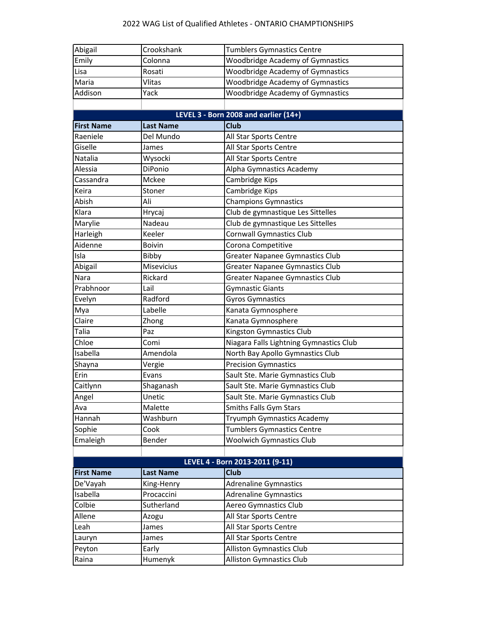| Abigail           | Crookshank       | <b>Tumblers Gymnastics Centre</b>       |
|-------------------|------------------|-----------------------------------------|
| Emily             | Colonna          | Woodbridge Academy of Gymnastics        |
| Lisa              | Rosati           | Woodbridge Academy of Gymnastics        |
| Maria             | Vlitas           | <b>Woodbridge Academy of Gymnastics</b> |
| Addison           | Yack             | <b>Woodbridge Academy of Gymnastics</b> |
|                   |                  |                                         |
|                   |                  | LEVEL 3 - Born 2008 and earlier (14+)   |
| <b>First Name</b> | <b>Last Name</b> | <b>Club</b>                             |
| Raeniele          | Del Mundo        | All Star Sports Centre                  |
| Giselle           | James            | All Star Sports Centre                  |
| Natalia           | Wysocki          | All Star Sports Centre                  |
| Alessia           | DiPonio          | Alpha Gymnastics Academy                |
| Cassandra         | Mckee            | Cambridge Kips                          |
| Keira             | Stoner           | Cambridge Kips                          |
| Abish             | Ali              | <b>Champions Gymnastics</b>             |
| Klara             | Hrycaj           | Club de gymnastique Les Sittelles       |
| Marylie           | Nadeau           | Club de gymnastique Les Sittelles       |
| Harleigh          | Keeler           | Cornwall Gymnastics Club                |
| Aidenne           | <b>Boivin</b>    | Corona Competitive                      |
| Isla              | Bibby            | <b>Greater Napanee Gymnastics Club</b>  |
| Abigail           | Misevicius       | <b>Greater Napanee Gymnastics Club</b>  |
| Nara              | Rickard          | <b>Greater Napanee Gymnastics Club</b>  |
| Prabhnoor         | Lail             | <b>Gymnastic Giants</b>                 |
| Evelyn            | Radford          | <b>Gyros Gymnastics</b>                 |
| Mya               | Labelle          | Kanata Gymnosphere                      |
| Claire            | Zhong            | Kanata Gymnosphere                      |
| Talia             | Paz              | Kingston Gymnastics Club                |
| Chloe             | Comi             | Niagara Falls Lightning Gymnastics Club |
| Isabella          | Amendola         | North Bay Apollo Gymnastics Club        |
| Shayna            | Vergie           | <b>Precision Gymnastics</b>             |
| Erin              | Evans            | Sault Ste. Marie Gymnastics Club        |
| Caitlynn          | Shaganash        | Sault Ste. Marie Gymnastics Club        |
| Angel             | Unetic           | Sault Ste. Marie Gymnastics Club        |
| Ava               | Malette          | <b>Smiths Falls Gym Stars</b>           |
| Hannah            | Washburn         | Tryumph Gymnastics Academy              |
| Sophie            | Cook             | <b>Tumblers Gymnastics Centre</b>       |
| Emaleigh          | Bender           | <b>Woolwich Gymnastics Club</b>         |
|                   |                  |                                         |
|                   |                  | LEVEL 4 - Born 2013-2011 (9-11)         |
| <b>First Name</b> | <b>Last Name</b> | Club                                    |
| De'Vayah          | King-Henry       | <b>Adrenaline Gymnastics</b>            |
| Isabella          | Procaccini       | <b>Adrenaline Gymnastics</b>            |
| Colbie            | Sutherland       | Aereo Gymnastics Club                   |
| Allene            | Azogu            | All Star Sports Centre                  |
| Leah              | James            | All Star Sports Centre                  |
| Lauryn            | James            | All Star Sports Centre                  |
| Peyton            | Early            | <b>Alliston Gymnastics Club</b>         |
| Raina             | Humenyk          | <b>Alliston Gymnastics Club</b>         |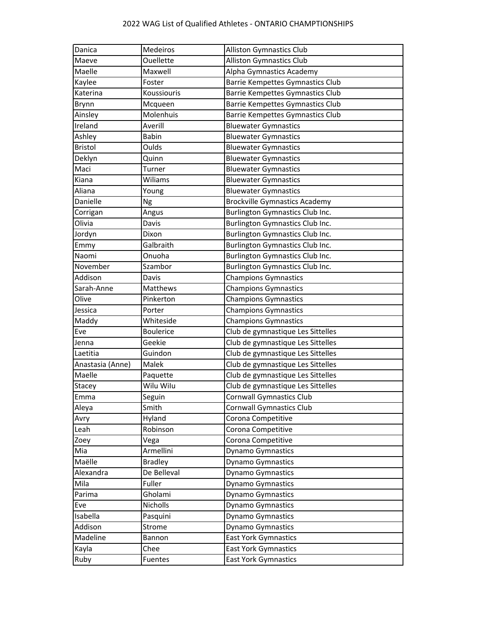| Danica           | Medeiros         | <b>Alliston Gymnastics Club</b>      |
|------------------|------------------|--------------------------------------|
| Maeve            | Ouellette        | <b>Alliston Gymnastics Club</b>      |
| Maelle           | Maxwell          | Alpha Gymnastics Academy             |
| Kaylee           | Foster           | Barrie Kempettes Gymnastics Club     |
| Katerina         | Koussiouris      | Barrie Kempettes Gymnastics Club     |
| Brynn            | Mcqueen          | Barrie Kempettes Gymnastics Club     |
| Ainsley          | Molenhuis        | Barrie Kempettes Gymnastics Club     |
| Ireland          | Averill          | <b>Bluewater Gymnastics</b>          |
| Ashley           | <b>Babin</b>     | <b>Bluewater Gymnastics</b>          |
| <b>Bristol</b>   | Oulds            | <b>Bluewater Gymnastics</b>          |
| Deklyn           | Quinn            | <b>Bluewater Gymnastics</b>          |
| Maci             | Turner           | <b>Bluewater Gymnastics</b>          |
| Kiana            | Wiliams          | <b>Bluewater Gymnastics</b>          |
| Aliana           | Young            | <b>Bluewater Gymnastics</b>          |
| Danielle         | Ng               | <b>Brockville Gymnastics Academy</b> |
| Corrigan         | Angus            | Burlington Gymnastics Club Inc.      |
| Olivia           | Davis            | Burlington Gymnastics Club Inc.      |
| Jordyn           | Dixon            | Burlington Gymnastics Club Inc.      |
| Emmy             | Galbraith        | Burlington Gymnastics Club Inc.      |
| Naomi            | Onuoha           | Burlington Gymnastics Club Inc.      |
| November         | Szambor          | Burlington Gymnastics Club Inc.      |
| Addison          | Davis            | <b>Champions Gymnastics</b>          |
| Sarah-Anne       | Matthews         | <b>Champions Gymnastics</b>          |
| Olive            | Pinkerton        | <b>Champions Gymnastics</b>          |
| Jessica          | Porter           | <b>Champions Gymnastics</b>          |
| Maddy            | Whiteside        | <b>Champions Gymnastics</b>          |
| Eve              | <b>Boulerice</b> | Club de gymnastique Les Sittelles    |
| Jenna            | Geekie           | Club de gymnastique Les Sittelles    |
| Laetitia         | Guindon          | Club de gymnastique Les Sittelles    |
| Anastasia (Anne) | Malek            | Club de gymnastique Les Sittelles    |
| Maelle           | Paquette         | Club de gymnastique Les Sittelles    |
| Stacey           | Wilu Wilu        | Club de gymnastique Les Sittelles    |
| Emma             | Seguin           | <b>Cornwall Gymnastics Club</b>      |
| Aleya            | Smith            | <b>Cornwall Gymnastics Club</b>      |
| Avry             | Hyland           | Corona Competitive                   |
| Leah             | Robinson         | Corona Competitive                   |
| Zoey             | Vega             | Corona Competitive                   |
| Mia              | Armellini        | <b>Dynamo Gymnastics</b>             |
| Maëlle           | <b>Bradley</b>   | Dynamo Gymnastics                    |
| Alexandra        | De Belleval      | <b>Dynamo Gymnastics</b>             |
| Mila             | Fuller           | <b>Dynamo Gymnastics</b>             |
| Parima           | Gholami          | <b>Dynamo Gymnastics</b>             |
| Eve              | Nicholls         | <b>Dynamo Gymnastics</b>             |
| Isabella         | Pasquini         | <b>Dynamo Gymnastics</b>             |
| Addison          | Strome           | <b>Dynamo Gymnastics</b>             |
| Madeline         | Bannon           | East York Gymnastics                 |
| Kayla            | Chee             | <b>East York Gymnastics</b>          |
| Ruby             | Fuentes          | <b>East York Gymnastics</b>          |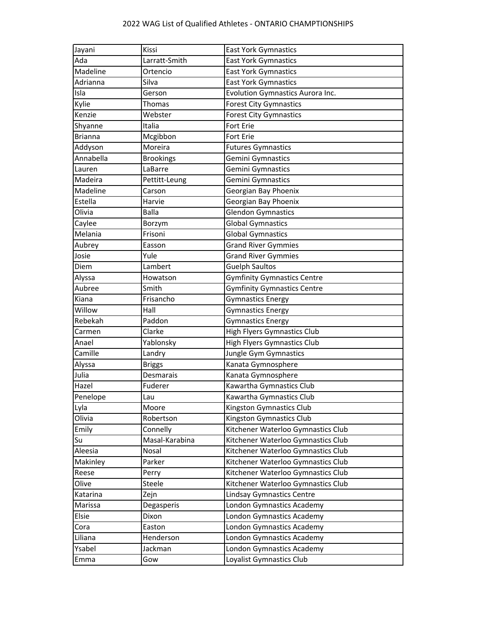| Jayani         | Kissi            | <b>East York Gymnastics</b>             |
|----------------|------------------|-----------------------------------------|
| Ada            | Larratt-Smith    | <b>East York Gymnastics</b>             |
| Madeline       | Ortencio         | <b>East York Gymnastics</b>             |
| Adrianna       | Silva            | <b>East York Gymnastics</b>             |
| Isla           | Gerson           | <b>Evolution Gymnastics Aurora Inc.</b> |
| Kylie          | <b>Thomas</b>    | <b>Forest City Gymnastics</b>           |
| Kenzie         | Webster          | <b>Forest City Gymnastics</b>           |
| Shyanne        | Italia           | Fort Erie                               |
| <b>Brianna</b> | Mcgibbon         | Fort Erie                               |
| Addyson        | Moreira          | <b>Futures Gymnastics</b>               |
| Annabella      | <b>Brookings</b> | Gemini Gymnastics                       |
| Lauren         | LaBarre          | Gemini Gymnastics                       |
| Madeira        | Pettitt-Leung    | Gemini Gymnastics                       |
| Madeline       | Carson           | Georgian Bay Phoenix                    |
| Estella        | Harvie           | Georgian Bay Phoenix                    |
| Olivia         | <b>Balla</b>     | Glendon Gymnastics                      |
| Caylee         | Borzym           | <b>Global Gymnastics</b>                |
| Melania        | Frisoni          | <b>Global Gymnastics</b>                |
| Aubrey         | Easson           | <b>Grand River Gymmies</b>              |
| Josie          | Yule             | <b>Grand River Gymmies</b>              |
| Diem           | Lambert          | <b>Guelph Saultos</b>                   |
| Alyssa         | Howatson         | <b>Gymfinity Gymnastics Centre</b>      |
| Aubree         | Smith            | <b>Gymfinity Gymnastics Centre</b>      |
| Kiana          | Frisancho        | <b>Gymnastics Energy</b>                |
| Willow         | Hall             | <b>Gymnastics Energy</b>                |
| Rebekah        | Paddon           | <b>Gymnastics Energy</b>                |
| Carmen         | Clarke           | <b>High Flyers Gymnastics Club</b>      |
| Anael          | Yablonsky        | <b>High Flyers Gymnastics Club</b>      |
| Camille        | Landry           | Jungle Gym Gymnastics                   |
| Alyssa         | <b>Briggs</b>    | Kanata Gymnosphere                      |
| Julia          | Desmarais        | Kanata Gymnosphere                      |
| Hazel          | Fuderer          | Kawartha Gymnastics Club                |
| Penelope       | Lau              | Kawartha Gymnastics Club                |
| Lyla           | Moore            | Kingston Gymnastics Club                |
| Olivia         | Robertson        | Kingston Gymnastics Club                |
| Emily          | Connelly         | Kitchener Waterloo Gymnastics Club      |
| Su             | Masal-Karabina   | Kitchener Waterloo Gymnastics Club      |
| Aleesia        | Nosal            | Kitchener Waterloo Gymnastics Club      |
| Makinley       | Parker           | Kitchener Waterloo Gymnastics Club      |
| Reese          | Perry            | Kitchener Waterloo Gymnastics Club      |
| Olive          | Steele           | Kitchener Waterloo Gymnastics Club      |
| Katarina       | Zejn             | Lindsay Gymnastics Centre               |
| Marissa        | Degasperis       | London Gymnastics Academy               |
| Elsie          | Dixon            | London Gymnastics Academy               |
| Cora           | Easton           | London Gymnastics Academy               |
| Liliana        | Henderson        | London Gymnastics Academy               |
| Ysabel         | Jackman          | London Gymnastics Academy               |
| Emma           | Gow              | Loyalist Gymnastics Club                |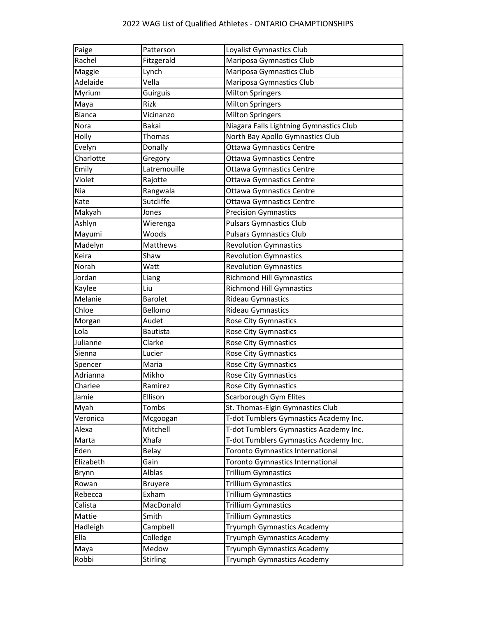| Paige         | Patterson       | Loyalist Gymnastics Club                |
|---------------|-----------------|-----------------------------------------|
| Rachel        | Fitzgerald      | Mariposa Gymnastics Club                |
| Maggie        | Lynch           | Mariposa Gymnastics Club                |
| Adelaide      | Vella           | Mariposa Gymnastics Club                |
| Myrium        | Guirguis        | <b>Milton Springers</b>                 |
| Maya          | <b>Rizk</b>     | <b>Milton Springers</b>                 |
| <b>Bianca</b> | Vicinanzo       | <b>Milton Springers</b>                 |
| Nora          | Bakai           | Niagara Falls Lightning Gymnastics Club |
| Holly         | Thomas          | North Bay Apollo Gymnastics Club        |
| Evelyn        | Donally         | Ottawa Gymnastics Centre                |
| Charlotte     | Gregory         | Ottawa Gymnastics Centre                |
| Emily         | Latremouille    | Ottawa Gymnastics Centre                |
| Violet        | Rajotte         | <b>Ottawa Gymnastics Centre</b>         |
| Nia           | Rangwala        | Ottawa Gymnastics Centre                |
| Kate          | Sutcliffe       | Ottawa Gymnastics Centre                |
| Makyah        | Jones           | <b>Precision Gymnastics</b>             |
| Ashlyn        | Wierenga        | <b>Pulsars Gymnastics Club</b>          |
| Mayumi        | Woods           | <b>Pulsars Gymnastics Club</b>          |
| Madelyn       | Matthews        | <b>Revolution Gymnastics</b>            |
| Keira         | Shaw            | <b>Revolution Gymnastics</b>            |
| Norah         | Watt            | <b>Revolution Gymnastics</b>            |
| Jordan        | Liang           | <b>Richmond Hill Gymnastics</b>         |
| Kaylee        | Liu             | <b>Richmond Hill Gymnastics</b>         |
| Melanie       | <b>Barolet</b>  | <b>Rideau Gymnastics</b>                |
| Chloe         | Bellomo         | Rideau Gymnastics                       |
| Morgan        | Audet           | Rose City Gymnastics                    |
| Lola          | <b>Bautista</b> | Rose City Gymnastics                    |
| Julianne      | Clarke          | Rose City Gymnastics                    |
| Sienna        | Lucier          | Rose City Gymnastics                    |
| Spencer       | Maria           | Rose City Gymnastics                    |
| Adrianna      | Mikho           | Rose City Gymnastics                    |
| Charlee       | Ramirez         | <b>Rose City Gymnastics</b>             |
| Jamie         | Ellison         | Scarborough Gym Elites                  |
| Myah          | Tombs           | St. Thomas-Elgin Gymnastics Club        |
| Veronica      | Mcgoogan        | T-dot Tumblers Gymnastics Academy Inc.  |
| Alexa         | Mitchell        | T-dot Tumblers Gymnastics Academy Inc.  |
| Marta         | Xhafa           | T-dot Tumblers Gymnastics Academy Inc.  |
| Eden          | Belay           | Toronto Gymnastics International        |
| Elizabeth     | Gain            | Toronto Gymnastics International        |
| Brynn         | Alblas          | <b>Trillium Gymnastics</b>              |
| Rowan         | <b>Bruyere</b>  | <b>Trillium Gymnastics</b>              |
| Rebecca       | Exham           | Trillium Gymnastics                     |
| Calista       | MacDonald       | <b>Trillium Gymnastics</b>              |
| Mattie        | Smith           | <b>Trillium Gymnastics</b>              |
| Hadleigh      | Campbell        | Tryumph Gymnastics Academy              |
| Ella          | Colledge        | Tryumph Gymnastics Academy              |
| Maya          | Medow           | Tryumph Gymnastics Academy              |
| Robbi         | <b>Stirling</b> | Tryumph Gymnastics Academy              |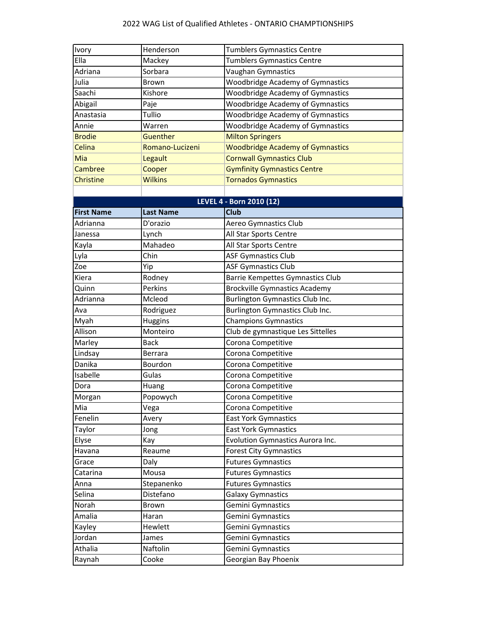| Ivory             | Henderson        | <b>Tumblers Gymnastics Centre</b>       |
|-------------------|------------------|-----------------------------------------|
| Ella              | Mackey           | <b>Tumblers Gymnastics Centre</b>       |
| Adriana           | Sorbara          | Vaughan Gymnastics                      |
| Julia             | <b>Brown</b>     | <b>Woodbridge Academy of Gymnastics</b> |
| Saachi            | Kishore          | <b>Woodbridge Academy of Gymnastics</b> |
| Abigail           | Paje             | <b>Woodbridge Academy of Gymnastics</b> |
| Anastasia         | Tullio           | Woodbridge Academy of Gymnastics        |
| Annie             | Warren           | <b>Woodbridge Academy of Gymnastics</b> |
| <b>Brodie</b>     | Guenther         | <b>Milton Springers</b>                 |
| Celina            | Romano-Lucizeni  | <b>Woodbridge Academy of Gymnastics</b> |
| Mia               | Legault          | <b>Cornwall Gymnastics Club</b>         |
| Cambree           | Cooper           | <b>Gymfinity Gymnastics Centre</b>      |
| Christine         | <b>Wilkins</b>   | <b>Tornados Gymnastics</b>              |
|                   |                  |                                         |
|                   |                  | LEVEL 4 - Born 2010 (12)                |
| <b>First Name</b> | <b>Last Name</b> | Club                                    |
| Adrianna          | D'orazio         | Aereo Gymnastics Club                   |
| Janessa           | Lynch            | All Star Sports Centre                  |
| Kayla             | Mahadeo          | All Star Sports Centre                  |
| Lyla              | Chin             | <b>ASF Gymnastics Club</b>              |
| Zoe               | Yip              | <b>ASF Gymnastics Club</b>              |
| Kiera             | Rodney           | Barrie Kempettes Gymnastics Club        |
| Quinn             | Perkins          | <b>Brockville Gymnastics Academy</b>    |
| Adrianna          | Mcleod           | Burlington Gymnastics Club Inc.         |
| Ava               | Rodriguez        | Burlington Gymnastics Club Inc.         |
| Myah              | <b>Huggins</b>   | <b>Champions Gymnastics</b>             |
| Allison           | Monteiro         | Club de gymnastique Les Sittelles       |
| Marley            | <b>Back</b>      | Corona Competitive                      |
| Lindsay           | Berrara          | Corona Competitive                      |
| Danika            | Bourdon          | Corona Competitive                      |
| Isabelle          | Gulas            | Corona Competitive                      |
| Dora              | Huang            | Corona Competitive                      |
| Morgan            | Popowych         | Corona Competitive                      |
| Mia               | Vega             | Corona Competitive                      |
| Fenelin           | Avery            | <b>East York Gymnastics</b>             |
| Taylor            | Jong             | <b>East York Gymnastics</b>             |
| Elyse             | Kay              | <b>Evolution Gymnastics Aurora Inc.</b> |
| Havana            | Reaume           | <b>Forest City Gymnastics</b>           |
| Grace             | Daly             | <b>Futures Gymnastics</b>               |
| Catarina          | Mousa            | <b>Futures Gymnastics</b>               |
| Anna              | Stepanenko       | <b>Futures Gymnastics</b>               |
| Selina            | Distefano        | Galaxy Gymnastics                       |
| Norah             | Brown            | Gemini Gymnastics                       |
| Amalia            | Haran            | Gemini Gymnastics                       |
| Kayley            | Hewlett          | Gemini Gymnastics                       |
| Jordan            | James            | Gemini Gymnastics                       |
| Athalia           | Naftolin         | Gemini Gymnastics                       |
| Raynah            | Cooke            | Georgian Bay Phoenix                    |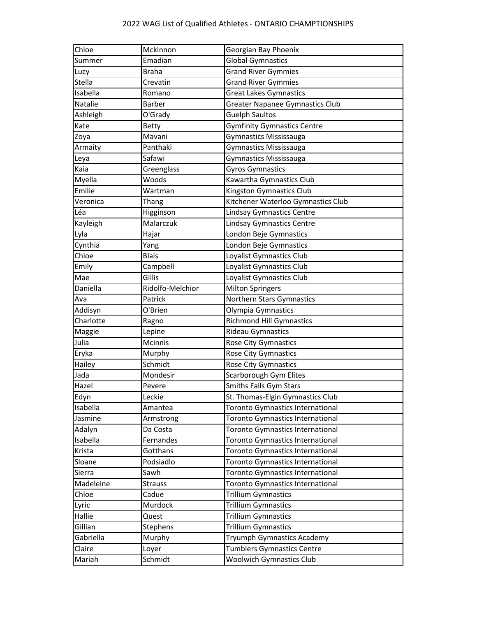| Chloe     | Mckinnon         | Georgian Bay Phoenix                    |
|-----------|------------------|-----------------------------------------|
| Summer    | Emadian          | <b>Global Gymnastics</b>                |
| Lucy      | <b>Braha</b>     | <b>Grand River Gymmies</b>              |
| Stella    | Crevatin         | <b>Grand River Gymmies</b>              |
| Isabella  | Romano           | <b>Great Lakes Gymnastics</b>           |
| Natalie   | Barber           | <b>Greater Napanee Gymnastics Club</b>  |
| Ashleigh  | O'Grady          | <b>Guelph Saultos</b>                   |
| Kate      | <b>Betty</b>     | <b>Gymfinity Gymnastics Centre</b>      |
| Zoya      | Mavani           | Gymnastics Mississauga                  |
| Armaity   | Panthaki         | Gymnastics Mississauga                  |
| Leya      | Safawi           | Gymnastics Mississauga                  |
| Kaia      | Greenglass       | <b>Gyros Gymnastics</b>                 |
| Myella    | Woods            | Kawartha Gymnastics Club                |
| Emilie    | Wartman          | Kingston Gymnastics Club                |
| Veronica  | Thang            | Kitchener Waterloo Gymnastics Club      |
| Léa       | Higginson        | <b>Lindsay Gymnastics Centre</b>        |
| Kayleigh  | Malarczuk        | <b>Lindsay Gymnastics Centre</b>        |
| Lyla      | Hajar            | London Beje Gymnastics                  |
| Cynthia   | Yang             | London Beje Gymnastics                  |
| Chloe     | <b>Blais</b>     | Loyalist Gymnastics Club                |
| Emily     | Campbell         | Loyalist Gymnastics Club                |
| Mae       | Gillis           | Loyalist Gymnastics Club                |
| Daniella  | Ridolfo-Melchior | <b>Milton Springers</b>                 |
| Ava       | Patrick          | Northern Stars Gymnastics               |
| Addisyn   | O'Brien          | Olympia Gymnastics                      |
| Charlotte | Ragno            | <b>Richmond Hill Gymnastics</b>         |
| Maggie    | Lepine           | Rideau Gymnastics                       |
| Julia     | Mcinnis          | Rose City Gymnastics                    |
| Eryka     | Murphy           | Rose City Gymnastics                    |
| Hailey    | Schmidt          | Rose City Gymnastics                    |
| Jada      | Mondesir         | Scarborough Gym Elites                  |
| Hazel     | Pevere           | <b>Smiths Falls Gym Stars</b>           |
| Edyn      | Leckie           | St. Thomas-Elgin Gymnastics Club        |
| Isabella  | Amantea          | Toronto Gymnastics International        |
| Jasmine   | Armstrong        | Toronto Gymnastics International        |
| Adalyn    | Da Costa         | <b>Toronto Gymnastics International</b> |
| Isabella  | Fernandes        | <b>Toronto Gymnastics International</b> |
| Krista    | Gotthans         | Toronto Gymnastics International        |
| Sloane    | Podsiadlo        | Toronto Gymnastics International        |
| Sierra    | Sawh             | Toronto Gymnastics International        |
| Madeleine | <b>Strauss</b>   | Toronto Gymnastics International        |
| Chloe     | Cadue            | Trillium Gymnastics                     |
| Lyric     | Murdock          | Trillium Gymnastics                     |
| Hallie    | Quest            | Trillium Gymnastics                     |
| Gillian   | Stephens         | Trillium Gymnastics                     |
| Gabriella | Murphy           | Tryumph Gymnastics Academy              |
| Claire    | Loyer            | <b>Tumblers Gymnastics Centre</b>       |
| Mariah    | Schmidt          | <b>Woolwich Gymnastics Club</b>         |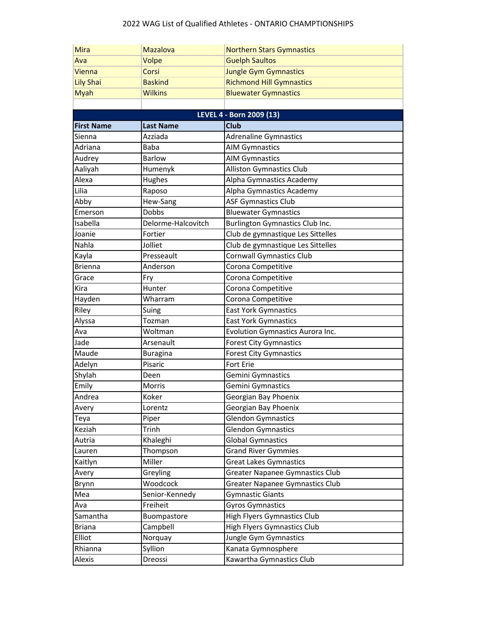| <b>Mira</b>       | <b>Mazalova</b>    | <b>Northern Stars Gymnastics</b>       |
|-------------------|--------------------|----------------------------------------|
| Ava               | Volpe              | <b>Guelph Saultos</b>                  |
| Vienna            | Corsi              | <b>Jungle Gym Gymnastics</b>           |
| <b>Lily Shai</b>  | <b>Baskind</b>     | <b>Richmond Hill Gymnastics</b>        |
| <b>Myah</b>       | <b>Wilkins</b>     | <b>Bluewater Gymnastics</b>            |
|                   |                    |                                        |
|                   |                    | LEVEL 4 - Born 2009 (13)               |
| <b>First Name</b> | <b>Last Name</b>   | <b>Club</b>                            |
| Sienna            | Azziada            | <b>Adrenaline Gymnastics</b>           |
| Adriana           | Baba               | <b>AIM Gymnastics</b>                  |
| Audrey            | <b>Barlow</b>      | <b>AIM Gymnastics</b>                  |
| Aaliyah           | Humenyk            | <b>Alliston Gymnastics Club</b>        |
| Alexa             | Hughes             | Alpha Gymnastics Academy               |
| Lilia             | Raposo             | Alpha Gymnastics Academy               |
| Abby              | Hew-Sang           | <b>ASF Gymnastics Club</b>             |
| Emerson           | Dobbs              | <b>Bluewater Gymnastics</b>            |
| Isabella          | Delorme-Halcovitch | Burlington Gymnastics Club Inc.        |
| Joanie            | Fortier            | Club de gymnastique Les Sittelles      |
| Nahla             | Jolliet            | Club de gymnastique Les Sittelles      |
| Kayla             | Presseault         | Cornwall Gymnastics Club               |
| <b>Brienna</b>    | Anderson           | Corona Competitive                     |
| Grace             | Fry                | Corona Competitive                     |
| Kira              | Hunter             | Corona Competitive                     |
| Hayden            | Wharram            | Corona Competitive                     |
| Riley             | Suing              | <b>East York Gymnastics</b>            |
| Alyssa            | Tozman             | <b>East York Gymnastics</b>            |
| Ava               | Woltman            | Evolution Gymnastics Aurora Inc.       |
| Jade              | Arsenault          | <b>Forest City Gymnastics</b>          |
| Maude             | <b>Buragina</b>    | <b>Forest City Gymnastics</b>          |
| Adelyn            | Pisaric            | Fort Erie                              |
| Shylah            | Deen               | Gemini Gymnastics                      |
| Emily             | Morris             | Gemini Gymnastics                      |
| Andrea            | Koker              | Georgian Bay Phoenix                   |
| Avery             | Lorentz            | Georgian Bay Phoenix                   |
| Teya              | Piper              | <b>Glendon Gymnastics</b>              |
| Keziah            | Trinh              | <b>Glendon Gymnastics</b>              |
| Autria            | Khaleghi           | <b>Global Gymnastics</b>               |
| Lauren            | Thompson           | <b>Grand River Gymmies</b>             |
| Kaitlyn           | Miller             | <b>Great Lakes Gymnastics</b>          |
| Avery             | Greyling           | <b>Greater Napanee Gymnastics Club</b> |
| Brynn             | Woodcock           | <b>Greater Napanee Gymnastics Club</b> |
| Mea               | Senior-Kennedy     | <b>Gymnastic Giants</b>                |
| Ava               | Freiheit           | <b>Gyros Gymnastics</b>                |
| Samantha          | Buompastore        | <b>High Flyers Gymnastics Club</b>     |
| <b>Briana</b>     | Campbell           | <b>High Flyers Gymnastics Club</b>     |
| Elliot            | Norquay            | Jungle Gym Gymnastics                  |
| Rhianna           | Syllion            | Kanata Gymnosphere                     |
| Alexis            | Dreossi            | Kawartha Gymnastics Club               |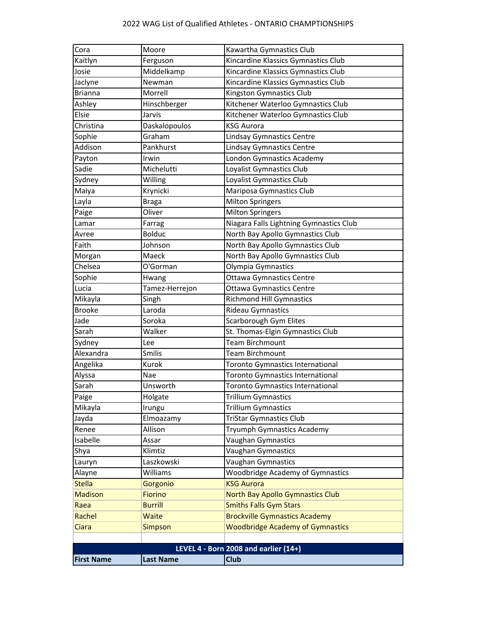| Cora              | Moore            | Kawartha Gymnastics Club                |
|-------------------|------------------|-----------------------------------------|
| Kaitlyn           | Ferguson         | Kincardine Klassics Gymnastics Club     |
| Josie             | Middelkamp       | Kincardine Klassics Gymnastics Club     |
| Jaclyne           | Newman           | Kincardine Klassics Gymnastics Club     |
| <b>Brianna</b>    | Morrell          | Kingston Gymnastics Club                |
| Ashley            | Hinschberger     | Kitchener Waterloo Gymnastics Club      |
| Elsie             | Jarvis           | Kitchener Waterloo Gymnastics Club      |
| Christina         | Daskalopoulos    | <b>KSG Aurora</b>                       |
| Sophie            | Graham           | Lindsay Gymnastics Centre               |
| Addison           | Pankhurst        | <b>Lindsay Gymnastics Centre</b>        |
| Payton            | Irwin            | London Gymnastics Academy               |
| Sadie             | Michelutti       | Loyalist Gymnastics Club                |
| Sydney            | Willing          | Loyalist Gymnastics Club                |
| Maiya             | Krynicki         | Mariposa Gymnastics Club                |
| Layla             | <b>Braga</b>     | <b>Milton Springers</b>                 |
| Paige             | Oliver           | <b>Milton Springers</b>                 |
| Lamar             | Farrag           | Niagara Falls Lightning Gymnastics Club |
| Avree             | <b>Bolduc</b>    | North Bay Apollo Gymnastics Club        |
| Faith             | Johnson          | North Bay Apollo Gymnastics Club        |
| Morgan            | Maeck            | North Bay Apollo Gymnastics Club        |
| Chelsea           | O'Gorman         | Olympia Gymnastics                      |
| Sophie            | Hwang            | Ottawa Gymnastics Centre                |
| Lucia             | Tamez-Herrejon   | Ottawa Gymnastics Centre                |
| Mikayla           | Singh            | <b>Richmond Hill Gymnastics</b>         |
| <b>Brooke</b>     | Laroda           | Rideau Gymnastics                       |
| Jade              | Soroka           | Scarborough Gym Elites                  |
| Sarah             | Walker           | St. Thomas-Elgin Gymnastics Club        |
| Sydney            | Lee              | Team Birchmount                         |
| Alexandra         | Smilis           | Team Birchmount                         |
| Angelika          | Kurok            | Toronto Gymnastics International        |
| Alyssa            | Nae              | Toronto Gymnastics International        |
| Sarah             | Unsworth         | Toronto Gymnastics International        |
| Paige             | Holgate          | <b>Trillium Gymnastics</b>              |
| Mikayla           | Irungu           | Trillium Gymnastics                     |
| Jayda             | Elmoazamy        | <b>TriStar Gymnastics Club</b>          |
| Renee             | Allison          | Tryumph Gymnastics Academy              |
| Isabelle          | Assar            | Vaughan Gymnastics                      |
| Shya              | Klimtiz          | Vaughan Gymnastics                      |
| Lauryn            | Laszkowski       | Vaughan Gymnastics                      |
| Alayne            | Williams         | Woodbridge Academy of Gymnastics        |
| <b>Stella</b>     | Gorgonio         | <b>KSG Aurora</b>                       |
| <b>Madison</b>    | <b>Fiorino</b>   | North Bay Apollo Gymnastics Club        |
| Raea              | <b>Burrill</b>   | <b>Smiths Falls Gym Stars</b>           |
| Rachel            | <b>Waite</b>     | <b>Brockville Gymnastics Academy</b>    |
| Ciara             | <b>Simpson</b>   | <b>Woodbridge Academy of Gymnastics</b> |
|                   |                  |                                         |
|                   |                  | LEVEL 4 - Born 2008 and earlier (14+)   |
| <b>First Name</b> | <b>Last Name</b> | Club                                    |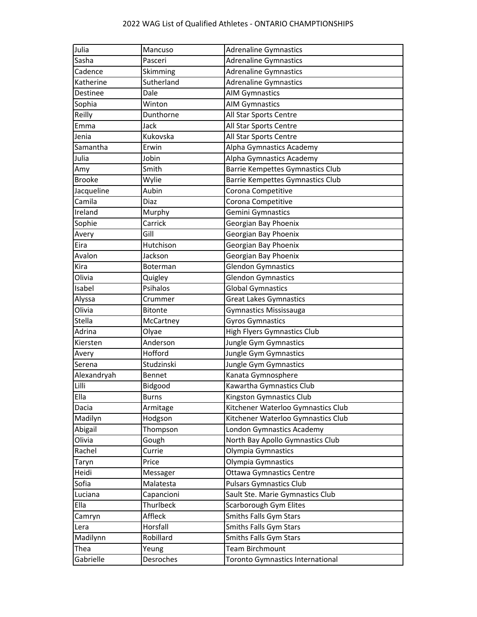| Julia         | Mancuso        | <b>Adrenaline Gymnastics</b>            |
|---------------|----------------|-----------------------------------------|
| Sasha         | Pasceri        | <b>Adrenaline Gymnastics</b>            |
| Cadence       | Skimming       | Adrenaline Gymnastics                   |
| Katherine     | Sutherland     | <b>Adrenaline Gymnastics</b>            |
| Destinee      | Dale           | <b>AIM Gymnastics</b>                   |
| Sophia        | Winton         | <b>AIM Gymnastics</b>                   |
| Reilly        | Dunthorne      | All Star Sports Centre                  |
| Emma          | Jack           | All Star Sports Centre                  |
| Jenia         | Kukovska       | All Star Sports Centre                  |
| Samantha      | Erwin          | Alpha Gymnastics Academy                |
| Julia         | Jobin          | Alpha Gymnastics Academy                |
| Amy           | Smith          | <b>Barrie Kempettes Gymnastics Club</b> |
| <b>Brooke</b> | Wylie          | Barrie Kempettes Gymnastics Club        |
| Jacqueline    | Aubin          | Corona Competitive                      |
| Camila        | Diaz           | Corona Competitive                      |
| Ireland       | Murphy         | Gemini Gymnastics                       |
| Sophie        | Carrick        | Georgian Bay Phoenix                    |
| Avery         | Gill           | Georgian Bay Phoenix                    |
| Eira          | Hutchison      | Georgian Bay Phoenix                    |
| Avalon        | Jackson        | Georgian Bay Phoenix                    |
| Kira          | Boterman       | Glendon Gymnastics                      |
| Olivia        | Quigley        | <b>Glendon Gymnastics</b>               |
| Isabel        | Psihalos       | <b>Global Gymnastics</b>                |
| Alyssa        | Crummer        | <b>Great Lakes Gymnastics</b>           |
| Olivia        | <b>Bitonte</b> | Gymnastics Mississauga                  |
| Stella        | McCartney      | <b>Gyros Gymnastics</b>                 |
| Adrina        | Olyae          | <b>High Flyers Gymnastics Club</b>      |
| Kiersten      | Anderson       | Jungle Gym Gymnastics                   |
| Avery         | Hofford        | Jungle Gym Gymnastics                   |
| Serena        | Studzinski     | Jungle Gym Gymnastics                   |
| Alexandryah   | Bennet         | Kanata Gymnosphere                      |
| Lilli         | Bidgood        | Kawartha Gymnastics Club                |
| Ella          | <b>Burns</b>   | <b>Kingston Gymnastics Club</b>         |
| Dacia         | Armitage       | Kitchener Waterloo Gymnastics Club      |
| Madilyn       | Hodgson        | Kitchener Waterloo Gymnastics Club      |
| Abigail       | Thompson       | London Gymnastics Academy               |
| Olivia        | Gough          | North Bay Apollo Gymnastics Club        |
| Rachel        | Currie         | Olympia Gymnastics                      |
| Taryn         | Price          | Olympia Gymnastics                      |
| Heidi         | Messager       | Ottawa Gymnastics Centre                |
| Sofia         | Malatesta      | <b>Pulsars Gymnastics Club</b>          |
| Luciana       | Capancioni     | Sault Ste. Marie Gymnastics Club        |
| Ella          | Thurlbeck      | Scarborough Gym Elites                  |
| Camryn        | Affleck        | Smiths Falls Gym Stars                  |
| Lera          | Horsfall       | Smiths Falls Gym Stars                  |
| Madilynn      | Robillard      | Smiths Falls Gym Stars                  |
| Thea          | Yeung          | Team Birchmount                         |
| Gabrielle     | Desroches      | Toronto Gymnastics International        |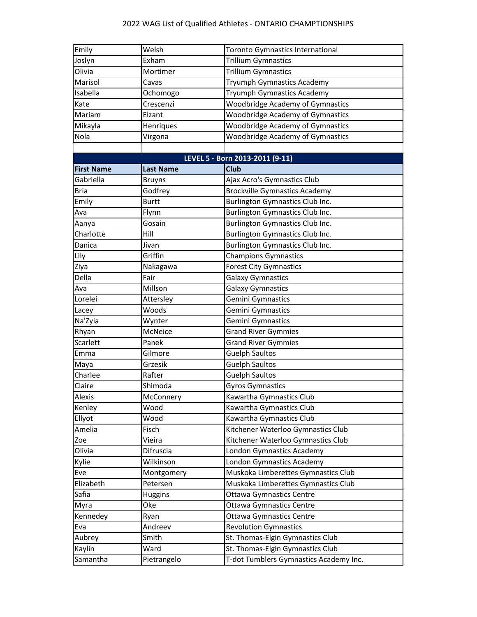| Emily             | Welsh            | Toronto Gymnastics International        |
|-------------------|------------------|-----------------------------------------|
| Joslyn            | Exham            | Trillium Gymnastics                     |
| Olivia            | Mortimer         | <b>Trillium Gymnastics</b>              |
| Marisol           | Cavas            | Tryumph Gymnastics Academy              |
| Isabella          | Ochomogo         | Tryumph Gymnastics Academy              |
| Kate              | Crescenzi        | <b>Woodbridge Academy of Gymnastics</b> |
| Mariam            | Elzant           | Woodbridge Academy of Gymnastics        |
| Mikayla           | Henriques        | <b>Woodbridge Academy of Gymnastics</b> |
| Nola              | Virgona          | <b>Woodbridge Academy of Gymnastics</b> |
|                   |                  |                                         |
|                   |                  | LEVEL 5 - Born 2013-2011 (9-11)         |
| <b>First Name</b> | <b>Last Name</b> | <b>Club</b>                             |
| Gabriella         | <b>Bruyns</b>    | Ajax Acro's Gymnastics Club             |
| <b>Bria</b>       | Godfrey          | <b>Brockville Gymnastics Academy</b>    |
| Emily             | <b>Burtt</b>     | <b>Burlington Gymnastics Club Inc.</b>  |
| Ava               | Flynn            | <b>Burlington Gymnastics Club Inc.</b>  |
| Aanya             | Gosain           | Burlington Gymnastics Club Inc.         |
| Charlotte         | Hill             | Burlington Gymnastics Club Inc.         |
| Danica            | Jivan            | Burlington Gymnastics Club Inc.         |
| Lily              | Griffin          | <b>Champions Gymnastics</b>             |
| Ziya              | Nakagawa         | <b>Forest City Gymnastics</b>           |
| Della             | Fair             | <b>Galaxy Gymnastics</b>                |
| Ava               | Millson          | Galaxy Gymnastics                       |
| Lorelei           | Attersley        | Gemini Gymnastics                       |
| Lacey             | Woods            | Gemini Gymnastics                       |
| Na'Zyia           | Wynter           | Gemini Gymnastics                       |
| Rhyan             | McNeice          | <b>Grand River Gymmies</b>              |
| Scarlett          | Panek            | <b>Grand River Gymmies</b>              |
| Emma              | Gilmore          | <b>Guelph Saultos</b>                   |
| Maya              | Grzesik          | <b>Guelph Saultos</b>                   |
| Charlee           | Rafter           | <b>Guelph Saultos</b>                   |
| Claire            | Shimoda          | <b>Gyros Gymnastics</b>                 |
| Alexis            | McConnery        | Kawartha Gymnastics Club                |
| Kenley            | Wood             | Kawartha Gymnastics Club                |
| Ellyot            | Wood             | Kawartha Gymnastics Club                |
| Amelia            | Fisch            | Kitchener Waterloo Gymnastics Club      |
| Zoe               | Vieira           | Kitchener Waterloo Gymnastics Club      |
| Olivia            | Difruscia        | London Gymnastics Academy               |
| Kylie             | Wilkinson        | London Gymnastics Academy               |
| Eve               | Montgomery       | Muskoka Limberettes Gymnastics Club     |
| Elizabeth         | Petersen         | Muskoka Limberettes Gymnastics Club     |
| Safia             | <b>Huggins</b>   | Ottawa Gymnastics Centre                |
| Myra              | Oke              | <b>Ottawa Gymnastics Centre</b>         |
| Kennedey          | Ryan             | Ottawa Gymnastics Centre                |
| Eva               | Andreev          | <b>Revolution Gymnastics</b>            |
| Aubrey            | Smith            | St. Thomas-Elgin Gymnastics Club        |
| Kaylin            | Ward             | St. Thomas-Elgin Gymnastics Club        |
| Samantha          | Pietrangelo      | T-dot Tumblers Gymnastics Academy Inc.  |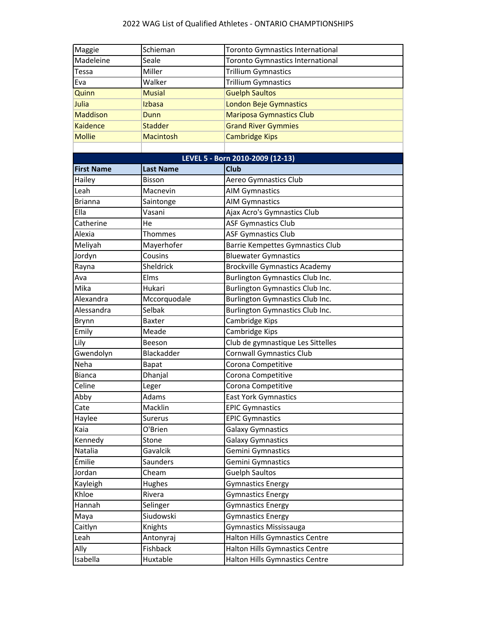## 2022 WAG List of Qualified Athletes ‐ ONTARIO CHAMPTIONSHIPS

| Maggie            | Schieman         | Toronto Gymnastics International        |
|-------------------|------------------|-----------------------------------------|
| Madeleine         | Seale            | Toronto Gymnastics International        |
| Tessa             | Miller           | <b>Trillium Gymnastics</b>              |
| Eva               | Walker           | <b>Trillium Gymnastics</b>              |
| Quinn             | <b>Musial</b>    | <b>Guelph Saultos</b>                   |
| Julia             | Izbasa           | <b>London Beje Gymnastics</b>           |
| <b>Maddison</b>   | Dunn             | <b>Mariposa Gymnastics Club</b>         |
| <b>Kaidence</b>   | <b>Stadder</b>   | <b>Grand River Gymmies</b>              |
| <b>Mollie</b>     | <b>Macintosh</b> | <b>Cambridge Kips</b>                   |
|                   |                  |                                         |
|                   |                  | LEVEL 5 - Born 2010-2009 (12-13)        |
| <b>First Name</b> | <b>Last Name</b> | <b>Club</b>                             |
| Hailey            | Bisson           | Aereo Gymnastics Club                   |
| Leah              | Macnevin         | <b>AIM Gymnastics</b>                   |
| <b>Brianna</b>    | Saintonge        | <b>AIM Gymnastics</b>                   |
| Ella              | Vasani           | Ajax Acro's Gymnastics Club             |
| Catherine         | He               | <b>ASF Gymnastics Club</b>              |
| Alexia            | Thommes          | <b>ASF Gymnastics Club</b>              |
| Meliyah           | Mayerhofer       | <b>Barrie Kempettes Gymnastics Club</b> |
| Jordyn            | Cousins          | <b>Bluewater Gymnastics</b>             |
| Rayna             | Sheldrick        | <b>Brockville Gymnastics Academy</b>    |
| Ava               | Elms             | Burlington Gymnastics Club Inc.         |
| Mika              | Hukari           | Burlington Gymnastics Club Inc.         |
| Alexandra         | Mccorquodale     | Burlington Gymnastics Club Inc.         |
| Alessandra        | Selbak           | Burlington Gymnastics Club Inc.         |
| Brynn             | <b>Baxter</b>    | Cambridge Kips                          |
| Emily             | Meade            | Cambridge Kips                          |
| Lily              | Beeson           | Club de gymnastique Les Sittelles       |
| Gwendolyn         | Blackadder       | Cornwall Gymnastics Club                |
| Neha              | Bapat            | Corona Competitive                      |
| <b>Bianca</b>     | Dhanjal          | Corona Competitive                      |
| Celine            | Leger            | Corona Competitive                      |
| Abby              | Adams            | East York Gymnastics                    |
| Cate              | Macklin          | <b>EPIC Gymnastics</b>                  |
| Haylee            | Surerus          | <b>EPIC Gymnastics</b>                  |
| Kaia              | O'Brien          | Galaxy Gymnastics                       |
| Kennedy           | Stone            | <b>Galaxy Gymnastics</b>                |
| Natalia           | Gavalcik         | Gemini Gymnastics                       |
| Émilie            | Saunders         | Gemini Gymnastics                       |
| Jordan            | Cheam            | <b>Guelph Saultos</b>                   |
| Kayleigh          | Hughes           | <b>Gymnastics Energy</b>                |
| Khloe             | Rivera           | <b>Gymnastics Energy</b>                |
| Hannah            | Selinger         | <b>Gymnastics Energy</b>                |
| Maya              | Siudowski        | <b>Gymnastics Energy</b>                |
| Caitlyn           | Knights          | Gymnastics Mississauga                  |
| Leah              | Antonyraj        | Halton Hills Gymnastics Centre          |
| Ally              | Fishback         | Halton Hills Gymnastics Centre          |
| Isabella          | Huxtable         | <b>Halton Hills Gymnastics Centre</b>   |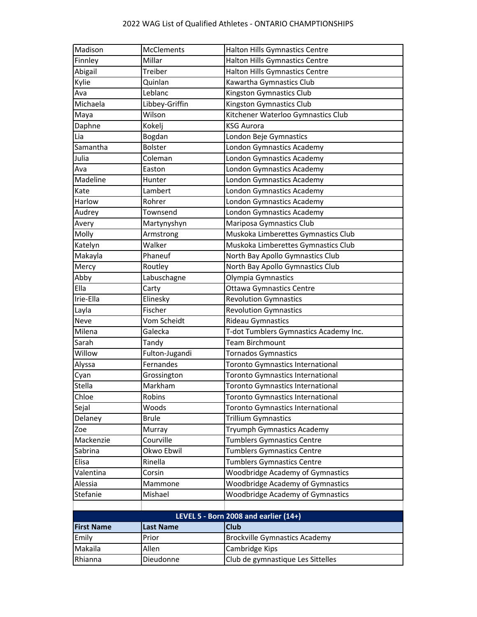| Madison           | <b>McClements</b> | <b>Halton Hills Gymnastics Centre</b>   |
|-------------------|-------------------|-----------------------------------------|
| Finnley           | Millar            | <b>Halton Hills Gymnastics Centre</b>   |
| Abigail           | Treiber           | <b>Halton Hills Gymnastics Centre</b>   |
| Kylie             | Quinlan           | Kawartha Gymnastics Club                |
| Ava               | Leblanc           | <b>Kingston Gymnastics Club</b>         |
| Michaela          | Libbey-Griffin    | Kingston Gymnastics Club                |
| Maya              | Wilson            | Kitchener Waterloo Gymnastics Club      |
| Daphne            | Kokelj            | <b>KSG Aurora</b>                       |
| Lia               | Bogdan            | London Beje Gymnastics                  |
| Samantha          | <b>Bolster</b>    | London Gymnastics Academy               |
| Julia             | Coleman           | London Gymnastics Academy               |
| Ava               | Easton            | London Gymnastics Academy               |
| Madeline          | Hunter            | London Gymnastics Academy               |
| Kate              | Lambert           | London Gymnastics Academy               |
| Harlow            | Rohrer            | London Gymnastics Academy               |
| Audrey            | Townsend          | London Gymnastics Academy               |
| Avery             | Martynyshyn       | Mariposa Gymnastics Club                |
| Molly             | Armstrong         | Muskoka Limberettes Gymnastics Club     |
| Katelyn           | Walker            | Muskoka Limberettes Gymnastics Club     |
| Makayla           | Phaneuf           | North Bay Apollo Gymnastics Club        |
| Mercy             | Routley           | North Bay Apollo Gymnastics Club        |
| Abby              | Labuschagne       | Olympia Gymnastics                      |
| Ella              | Carty             | <b>Ottawa Gymnastics Centre</b>         |
| Irie-Ella         | Elinesky          | <b>Revolution Gymnastics</b>            |
| Layla             | Fischer           | <b>Revolution Gymnastics</b>            |
| Neve              | Vom Scheidt       | Rideau Gymnastics                       |
| Milena            | Galecka           | T-dot Tumblers Gymnastics Academy Inc.  |
| Sarah             | Tandy             | <b>Team Birchmount</b>                  |
| Willow            | Fulton-Jugandi    | <b>Tornados Gymnastics</b>              |
| Alyssa            | Fernandes         | <b>Toronto Gymnastics International</b> |
| Cyan              | Grossington       | Toronto Gymnastics International        |
| Stella            | Markham           | <b>Toronto Gymnastics International</b> |
| Chloe             | Robins            | <b>Toronto Gymnastics International</b> |
| Sejal             | Woods             | <b>Toronto Gymnastics International</b> |
| Delaney           | <b>Brule</b>      | <b>Trillium Gymnastics</b>              |
| Zoe               | Murray            | Tryumph Gymnastics Academy              |
| Mackenzie         | Courville         | <b>Tumblers Gymnastics Centre</b>       |
| Sabrina           | Okwo Ebwil        | <b>Tumblers Gymnastics Centre</b>       |
| Elisa             | Rinella           | <b>Tumblers Gymnastics Centre</b>       |
| Valentina         | Corsin            | Woodbridge Academy of Gymnastics        |
| Alessia           | Mammone           | Woodbridge Academy of Gymnastics        |
| Stefanie          | Mishael           | Woodbridge Academy of Gymnastics        |
|                   |                   |                                         |
|                   |                   | LEVEL 5 - Born 2008 and earlier (14+)   |
| <b>First Name</b> | <b>Last Name</b>  | <b>Club</b>                             |
| Emily             | Prior             | <b>Brockville Gymnastics Academy</b>    |
| Makaila           | Allen             | Cambridge Kips                          |
| Rhianna           | Dieudonne         | Club de gymnastique Les Sittelles       |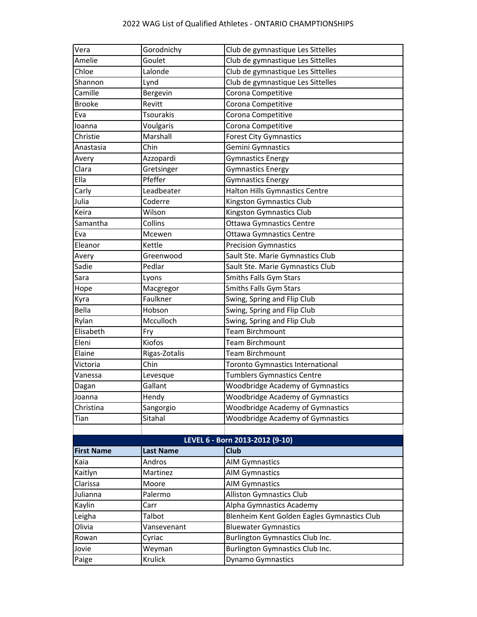| Vera              | Gorodnichy       | Club de gymnastique Les Sittelles           |
|-------------------|------------------|---------------------------------------------|
| Amelie            | Goulet           | Club de gymnastique Les Sittelles           |
| Chloe             | Lalonde          | Club de gymnastique Les Sittelles           |
| Shannon           | Lynd             | Club de gymnastique Les Sittelles           |
| Camille           | Bergevin         | Corona Competitive                          |
| <b>Brooke</b>     | Revitt           | Corona Competitive                          |
| Eva               | <b>Tsourakis</b> | Corona Competitive                          |
| loanna            | Voulgaris        | Corona Competitive                          |
| Christie          | Marshall         | <b>Forest City Gymnastics</b>               |
| Anastasia         | Chin             | Gemini Gymnastics                           |
| Avery             | Azzopardi        | <b>Gymnastics Energy</b>                    |
| Clara             | Gretsinger       | <b>Gymnastics Energy</b>                    |
| Ella              | Pfeffer          | <b>Gymnastics Energy</b>                    |
| Carly             | Leadbeater       | Halton Hills Gymnastics Centre              |
| Julia             | Coderre          | <b>Kingston Gymnastics Club</b>             |
| Keira             | Wilson           | Kingston Gymnastics Club                    |
| Samantha          | Collins          | Ottawa Gymnastics Centre                    |
| Eva               | Mcewen           | Ottawa Gymnastics Centre                    |
| Eleanor           | Kettle           | <b>Precision Gymnastics</b>                 |
| Avery             | Greenwood        | Sault Ste. Marie Gymnastics Club            |
| Sadie             | Pedlar           | Sault Ste. Marie Gymnastics Club            |
| Sara              | Lyons            | Smiths Falls Gym Stars                      |
| Hope              | Macgregor        | Smiths Falls Gym Stars                      |
| Kyra              | Faulkner         | Swing, Spring and Flip Club                 |
| Bella             | Hobson           | Swing, Spring and Flip Club                 |
| Rylan             | Mcculloch        | Swing, Spring and Flip Club                 |
| Elisabeth         | Fry              | Team Birchmount                             |
| Eleni             | Kiofos           | Team Birchmount                             |
| Elaine            | Rigas-Zotalis    | Team Birchmount                             |
| Victoria          | Chin             | Toronto Gymnastics International            |
| Vanessa           | Levesque         | <b>Tumblers Gymnastics Centre</b>           |
| Dagan             | Gallant          | Woodbridge Academy of Gymnastics            |
| Joanna            | Hendy            | <b>Woodbridge Academy of Gymnastics</b>     |
| Christina         | Sangorgio        | <b>Woodbridge Academy of Gymnastics</b>     |
| Tian              | Sitahal          | <b>Woodbridge Academy of Gymnastics</b>     |
|                   |                  |                                             |
|                   |                  | LEVEL 6 - Born 2013-2012 (9-10)             |
| <b>First Name</b> | <b>Last Name</b> | <b>Club</b>                                 |
| Kaia              | Andros           | <b>AIM Gymnastics</b>                       |
| Kaitlyn           | Martinez         | <b>AIM Gymnastics</b>                       |
| Clarissa          | Moore            | <b>AIM Gymnastics</b>                       |
| Julianna          | Palermo          | <b>Alliston Gymnastics Club</b>             |
| Kaylin            | Carr             | Alpha Gymnastics Academy                    |
| Leigha            | Talbot           | Blenheim Kent Golden Eagles Gymnastics Club |
| Olivia            | Vansevenant      | <b>Bluewater Gymnastics</b>                 |
| Rowan             | Cyriac           | <b>Burlington Gymnastics Club Inc.</b>      |
| Jovie             | Weyman           | Burlington Gymnastics Club Inc.             |
| Paige             | Krulick          | Dynamo Gymnastics                           |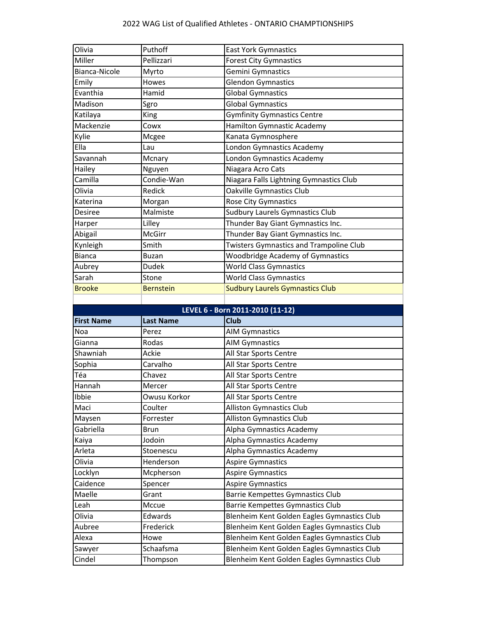| Olivia            | Puthoff          | <b>East York Gymnastics</b>                    |
|-------------------|------------------|------------------------------------------------|
| Miller            | Pellizzari       | <b>Forest City Gymnastics</b>                  |
| Bianca-Nicole     | Myrto            | Gemini Gymnastics                              |
| Emily             | Howes            | <b>Glendon Gymnastics</b>                      |
| Evanthia          | Hamid            | <b>Global Gymnastics</b>                       |
| Madison           | Sgro             | <b>Global Gymnastics</b>                       |
| Katilaya          | King             | <b>Gymfinity Gymnastics Centre</b>             |
| Mackenzie         | Cowx             | <b>Hamilton Gymnastic Academy</b>              |
| Kylie             | Mcgee            | Kanata Gymnosphere                             |
| Ella              | Lau              | London Gymnastics Academy                      |
| Savannah          | Mcnary           | London Gymnastics Academy                      |
| Hailey            | Nguyen           | Niagara Acro Cats                              |
| Camilla           | Condie-Wan       | Niagara Falls Lightning Gymnastics Club        |
| Olivia            | Redick           | Oakville Gymnastics Club                       |
| Katerina          | Morgan           | <b>Rose City Gymnastics</b>                    |
| Desiree           | Malmiste         | <b>Sudbury Laurels Gymnastics Club</b>         |
| Harper            | Lilley           | Thunder Bay Giant Gymnastics Inc.              |
| Abigail           | McGirr           | Thunder Bay Giant Gymnastics Inc.              |
| Kynleigh          | Smith            | <b>Twisters Gymnastics and Trampoline Club</b> |
| <b>Bianca</b>     | <b>Buzan</b>     | <b>Woodbridge Academy of Gymnastics</b>        |
| Aubrey            | <b>Dudek</b>     | <b>World Class Gymnastics</b>                  |
| Sarah             | Stone            | <b>World Class Gymnastics</b>                  |
| <b>Brooke</b>     | <b>Bernstein</b> | <b>Sudbury Laurels Gymnastics Club</b>         |
|                   |                  |                                                |
|                   |                  |                                                |
|                   |                  | LEVEL 6 - Born 2011-2010 (11-12)               |
| <b>First Name</b> | <b>Last Name</b> | <b>Club</b>                                    |
| Noa               | Perez            | <b>AIM Gymnastics</b>                          |
| Gianna            | Rodas            | <b>AIM Gymnastics</b>                          |
| Shawniah          | Ackie            | All Star Sports Centre                         |
| Sophia            | Carvalho         | All Star Sports Centre                         |
| Téa               | Chavez           | All Star Sports Centre                         |
| Hannah            | Mercer           | All Star Sports Centre                         |
| Ibbie             | Owusu Korkor     | All Star Sports Centre                         |
| Maci              | Coulter          | <b>Alliston Gymnastics Club</b>                |
| Maysen            | Forrester        | <b>Alliston Gymnastics Club</b>                |
| Gabriella         | <b>Brun</b>      | Alpha Gymnastics Academy                       |
| Kaiya             | Jodoin           | Alpha Gymnastics Academy                       |
| Arleta            | Stoenescu        | Alpha Gymnastics Academy                       |
| Olivia            | Henderson        | <b>Aspire Gymnastics</b>                       |
| Locklyn           | Mcpherson        | <b>Aspire Gymnastics</b>                       |
| Caidence          | Spencer          | <b>Aspire Gymnastics</b>                       |
| Maelle            | Grant            | Barrie Kempettes Gymnastics Club               |
| Leah              | Mccue            | Barrie Kempettes Gymnastics Club               |
| Olivia            | Edwards          | Blenheim Kent Golden Eagles Gymnastics Club    |
| Aubree            | Frederick        | Blenheim Kent Golden Eagles Gymnastics Club    |
| Alexa             | Howe             | Blenheim Kent Golden Eagles Gymnastics Club    |
| Sawyer            | Schaafsma        | Blenheim Kent Golden Eagles Gymnastics Club    |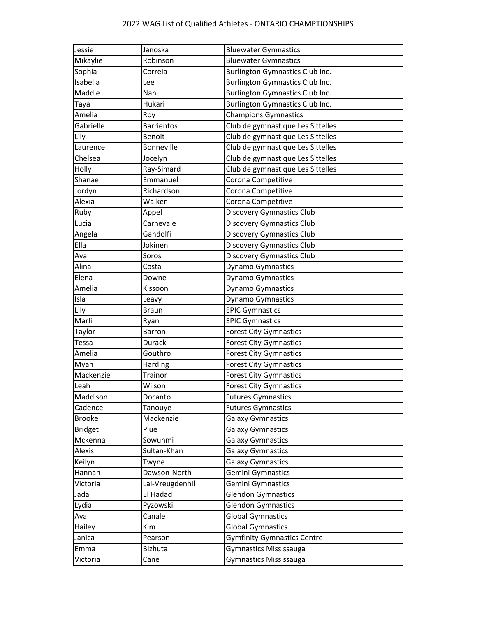| Jessie         | Janoska           | <b>Bluewater Gymnastics</b>            |
|----------------|-------------------|----------------------------------------|
| Mikaylie       | Robinson          | <b>Bluewater Gymnastics</b>            |
| Sophia         | Correia           | <b>Burlington Gymnastics Club Inc.</b> |
| Isabella       | Lee               | Burlington Gymnastics Club Inc.        |
| Maddie         | Nah               | <b>Burlington Gymnastics Club Inc.</b> |
| Taya           | Hukari            | Burlington Gymnastics Club Inc.        |
| Amelia         | Roy               | Champions Gymnastics                   |
| Gabrielle      | <b>Barrientos</b> | Club de gymnastique Les Sittelles      |
| Lily           | Benoit            | Club de gymnastique Les Sittelles      |
| Laurence       | <b>Bonneville</b> | Club de gymnastique Les Sittelles      |
| Chelsea        | Jocelyn           | Club de gymnastique Les Sittelles      |
| Holly          | Ray-Simard        | Club de gymnastique Les Sittelles      |
| Shanae         | Emmanuel          | Corona Competitive                     |
| Jordyn         | Richardson        | Corona Competitive                     |
| Alexia         | Walker            | Corona Competitive                     |
| Ruby           | Appel             | <b>Discovery Gymnastics Club</b>       |
| Lucia          | Carnevale         | Discovery Gymnastics Club              |
| Angela         | Gandolfi          | <b>Discovery Gymnastics Club</b>       |
| Ella           | Jokinen           | <b>Discovery Gymnastics Club</b>       |
| Ava            | Soros             | <b>Discovery Gymnastics Club</b>       |
| Alina          | Costa             | Dynamo Gymnastics                      |
| Elena          | Downe             | <b>Dynamo Gymnastics</b>               |
| Amelia         | Kissoon           | <b>Dynamo Gymnastics</b>               |
| Isla           | Leavy             | Dynamo Gymnastics                      |
| Lily           | <b>Braun</b>      | <b>EPIC Gymnastics</b>                 |
| Marli          | Ryan              | <b>EPIC Gymnastics</b>                 |
| Taylor         | <b>Barron</b>     | <b>Forest City Gymnastics</b>          |
| Tessa          | Durack            | <b>Forest City Gymnastics</b>          |
| Amelia         | Gouthro           | <b>Forest City Gymnastics</b>          |
| Myah           | Harding           | <b>Forest City Gymnastics</b>          |
| Mackenzie      | Trainor           | <b>Forest City Gymnastics</b>          |
| Leah           | Wilson            | <b>Forest City Gymnastics</b>          |
| Maddison       | Docanto           | <b>Futures Gymnastics</b>              |
| Cadence        | Tanouye           | <b>Futures Gymnastics</b>              |
| <b>Brooke</b>  | Mackenzie         | <b>Galaxy Gymnastics</b>               |
| <b>Bridget</b> | Plue              | <b>Galaxy Gymnastics</b>               |
| Mckenna        | Sowunmi           | <b>Galaxy Gymnastics</b>               |
| Alexis         | Sultan-Khan       | Galaxy Gymnastics                      |
| Keilyn         | Twyne             | <b>Galaxy Gymnastics</b>               |
| Hannah         | Dawson-North      | Gemini Gymnastics                      |
| Victoria       | Lai-Vreugdenhil   | Gemini Gymnastics                      |
| Jada           | El Hadad          | <b>Glendon Gymnastics</b>              |
| Lydia          | Pyzowski          | <b>Glendon Gymnastics</b>              |
| Ava            | Canale            | <b>Global Gymnastics</b>               |
| Hailey         | Kim               | <b>Global Gymnastics</b>               |
| Janica         | Pearson           | <b>Gymfinity Gymnastics Centre</b>     |
| Emma           | Bizhuta           | Gymnastics Mississauga                 |
| Victoria       | Cane              | Gymnastics Mississauga                 |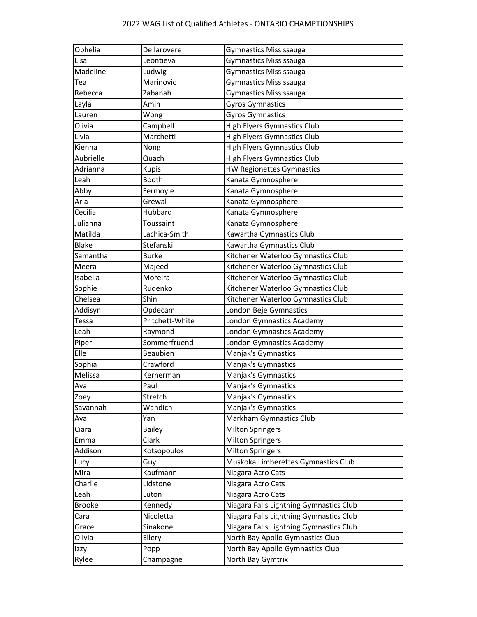| Ophelia       | Dellarovere     | <b>Gymnastics Mississauga</b>           |
|---------------|-----------------|-----------------------------------------|
| Lisa          | Leontieva       | Gymnastics Mississauga                  |
| Madeline      | Ludwig          | Gymnastics Mississauga                  |
| Tea           | Marinovic       | Gymnastics Mississauga                  |
| Rebecca       | Zabanah         | Gymnastics Mississauga                  |
| Layla         | Amin            | <b>Gyros Gymnastics</b>                 |
| Lauren        | Wong            | <b>Gyros Gymnastics</b>                 |
| Olivia        | Campbell        | <b>High Flyers Gymnastics Club</b>      |
| Livia         | Marchetti       | High Flyers Gymnastics Club             |
| Kienna        | Nong            | High Flyers Gymnastics Club             |
| Aubrielle     | Quach           | <b>High Flyers Gymnastics Club</b>      |
| Adrianna      | <b>Kupis</b>    | <b>HW Regionettes Gymnastics</b>        |
| Leah          | Booth           | Kanata Gymnosphere                      |
| Abby          | Fermoyle        | Kanata Gymnosphere                      |
| Aria          | Grewal          | Kanata Gymnosphere                      |
| Cecilia       | Hubbard         | Kanata Gymnosphere                      |
| Julianna      | Toussaint       | Kanata Gymnosphere                      |
| Matilda       | Lachica-Smith   | Kawartha Gymnastics Club                |
| <b>Blake</b>  | Stefanski       | Kawartha Gymnastics Club                |
| Samantha      | <b>Burke</b>    | Kitchener Waterloo Gymnastics Club      |
| Meera         | Majeed          | Kitchener Waterloo Gymnastics Club      |
| Isabella      | Moreira         | Kitchener Waterloo Gymnastics Club      |
| Sophie        | Rudenko         | Kitchener Waterloo Gymnastics Club      |
| Chelsea       | Shin            | Kitchener Waterloo Gymnastics Club      |
| Addisyn       | Opdecam         | London Beje Gymnastics                  |
| Tessa         | Pritchett-White | London Gymnastics Academy               |
| Leah          | Raymond         | London Gymnastics Academy               |
| Piper         | Sommerfruend    | London Gymnastics Academy               |
| Elle          | Beaubien        | Manjak's Gymnastics                     |
| Sophia        | Crawford        | Manjak's Gymnastics                     |
| Melissa       | Kernerman       | Manjak's Gymnastics                     |
| Ava           | Paul            | Manjak's Gymnastics                     |
| Zoey          | Stretch         | Manjak's Gymnastics                     |
| Savannah      | Wandich         | Manjak's Gymnastics                     |
| Ava           | Yan             | Markham Gymnastics Club                 |
| Ciara         | <b>Bailey</b>   | <b>Milton Springers</b>                 |
| Emma          | Clark           | <b>Milton Springers</b>                 |
| Addison       | Kotsopoulos     | <b>Milton Springers</b>                 |
| Lucy          | Guy             | Muskoka Limberettes Gymnastics Club     |
| Mira          | Kaufmann        | Niagara Acro Cats                       |
| Charlie       | Lidstone        | Niagara Acro Cats                       |
| Leah          | Luton           | Niagara Acro Cats                       |
| <b>Brooke</b> | Kennedy         | Niagara Falls Lightning Gymnastics Club |
| Cara          | Nicoletta       | Niagara Falls Lightning Gymnastics Club |
| Grace         | Sinakone        | Niagara Falls Lightning Gymnastics Club |
| Olivia        | Ellery          | North Bay Apollo Gymnastics Club        |
| Izzy          | Popp            | North Bay Apollo Gymnastics Club        |
| Rylee         | Champagne       | North Bay Gymtrix                       |
|               |                 |                                         |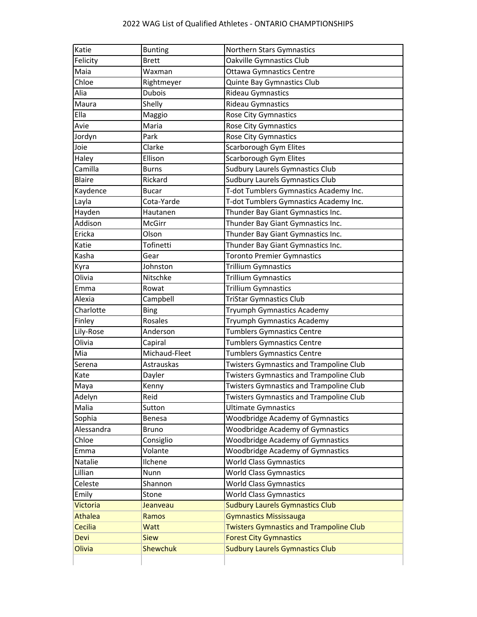| Katie           | <b>Bunting</b>  | Northern Stars Gymnastics                      |
|-----------------|-----------------|------------------------------------------------|
| Felicity        | <b>Brett</b>    | <b>Oakville Gymnastics Club</b>                |
| Maia            | Waxman          | <b>Ottawa Gymnastics Centre</b>                |
| Chloe           | Rightmeyer      | Quinte Bay Gymnastics Club                     |
| Alia            | <b>Dubois</b>   | <b>Rideau Gymnastics</b>                       |
| Maura           | Shelly          | Rideau Gymnastics                              |
| Ella            | Maggio          | <b>Rose City Gymnastics</b>                    |
| Avie            | Maria           | Rose City Gymnastics                           |
| Jordyn          | Park            | <b>Rose City Gymnastics</b>                    |
| Joie            | Clarke          | Scarborough Gym Elites                         |
| Haley           | Ellison         | Scarborough Gym Elites                         |
| Camilla         | <b>Burns</b>    | <b>Sudbury Laurels Gymnastics Club</b>         |
| <b>Blaire</b>   | Rickard         | <b>Sudbury Laurels Gymnastics Club</b>         |
| Kaydence        | <b>Bucar</b>    | T-dot Tumblers Gymnastics Academy Inc.         |
| Layla           | Cota-Yarde      | T-dot Tumblers Gymnastics Academy Inc.         |
| Hayden          | Hautanen        | Thunder Bay Giant Gymnastics Inc.              |
| Addison         | McGirr          | Thunder Bay Giant Gymnastics Inc.              |
| Ericka          | Olson           | Thunder Bay Giant Gymnastics Inc.              |
| Katie           | Tofinetti       | Thunder Bay Giant Gymnastics Inc.              |
| Kasha           | Gear            | <b>Toronto Premier Gymnastics</b>              |
| Kyra            | Johnston        | <b>Trillium Gymnastics</b>                     |
| Olivia          | Nitschke        | <b>Trillium Gymnastics</b>                     |
| Emma            | Rowat           | <b>Trillium Gymnastics</b>                     |
| Alexia          | Campbell        | <b>TriStar Gymnastics Club</b>                 |
| Charlotte       | <b>Bing</b>     | Tryumph Gymnastics Academy                     |
| Finley          | Rosales         | Tryumph Gymnastics Academy                     |
| Lily-Rose       | Anderson        | <b>Tumblers Gymnastics Centre</b>              |
| Olivia          | Capiral         | <b>Tumblers Gymnastics Centre</b>              |
| Mia             | Michaud-Fleet   | <b>Tumblers Gymnastics Centre</b>              |
| Serena          | Astrauskas      | Twisters Gymnastics and Trampoline Club        |
| Kate            | Dayler          | <b>Twisters Gymnastics and Trampoline Club</b> |
| Maya            | Kenny           | <b>Twisters Gymnastics and Trampoline Club</b> |
| Adelyn          | Reid            | <b>Twisters Gymnastics and Trampoline Club</b> |
| Malia           | Sutton          | <b>Ultimate Gymnastics</b>                     |
| Sophia          | Benesa          | <b>Woodbridge Academy of Gymnastics</b>        |
| Alessandra      | <b>Bruno</b>    | Woodbridge Academy of Gymnastics               |
| Chloe           | Consiglio       | Woodbridge Academy of Gymnastics               |
| Emma            | Volante         | <b>Woodbridge Academy of Gymnastics</b>        |
| Natalie         | Ilchene         | World Class Gymnastics                         |
| Lillian         | Nunn            | <b>World Class Gymnastics</b>                  |
| Celeste         | Shannon         | <b>World Class Gymnastics</b>                  |
| Emily           | Stone           | <b>World Class Gymnastics</b>                  |
| <b>Victoria</b> | Jeanveau        | <b>Sudbury Laurels Gymnastics Club</b>         |
| <b>Athalea</b>  | Ramos           | <b>Gymnastics Mississauga</b>                  |
| Cecilia         | <b>Watt</b>     | <b>Twisters Gymnastics and Trampoline Club</b> |
| <b>Devi</b>     | <b>Siew</b>     | <b>Forest City Gymnastics</b>                  |
| Olivia          | <b>Shewchuk</b> | <b>Sudbury Laurels Gymnastics Club</b>         |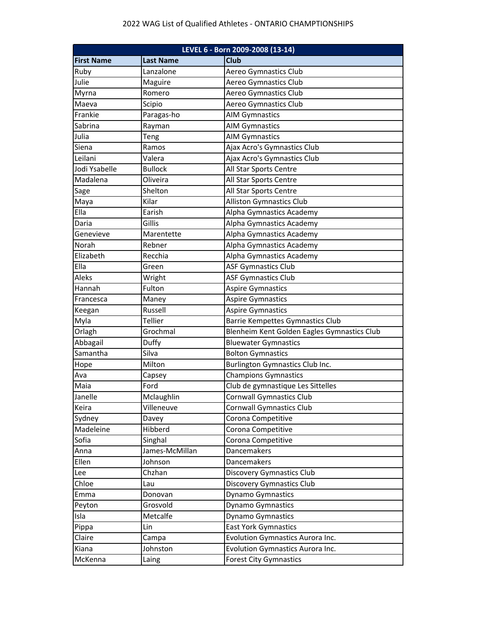| LEVEL 6 - Born 2009-2008 (13-14) |                  |                                             |
|----------------------------------|------------------|---------------------------------------------|
| <b>First Name</b>                | <b>Last Name</b> | <b>Club</b>                                 |
| Ruby                             | Lanzalone        | Aereo Gymnastics Club                       |
| Julie                            | Maguire          | Aereo Gymnastics Club                       |
| Myrna                            | Romero           | Aereo Gymnastics Club                       |
| Maeva                            | Scipio           | Aereo Gymnastics Club                       |
| Frankie                          | Paragas-ho       | <b>AIM Gymnastics</b>                       |
| Sabrina                          | Rayman           | <b>AIM Gymnastics</b>                       |
| Julia                            | Teng             | <b>AIM Gymnastics</b>                       |
| Siena                            | Ramos            | Ajax Acro's Gymnastics Club                 |
| Leilani                          | Valera           | Ajax Acro's Gymnastics Club                 |
| Jodi Ysabelle                    | <b>Bullock</b>   | All Star Sports Centre                      |
| Madalena                         | Oliveira         | All Star Sports Centre                      |
| Sage                             | Shelton          | All Star Sports Centre                      |
| Maya                             | Kilar            | <b>Alliston Gymnastics Club</b>             |
| Ella                             | Earish           | Alpha Gymnastics Academy                    |
| Daria                            | Gillis           | Alpha Gymnastics Academy                    |
| Genevieve                        | Marentette       | Alpha Gymnastics Academy                    |
| Norah                            | Rebner           | Alpha Gymnastics Academy                    |
| Elizabeth                        | Recchia          | Alpha Gymnastics Academy                    |
| Ella                             | Green            | <b>ASF Gymnastics Club</b>                  |
| Aleks                            | Wright           | <b>ASF Gymnastics Club</b>                  |
| Hannah                           | Fulton           | <b>Aspire Gymnastics</b>                    |
| Francesca                        | Maney            | <b>Aspire Gymnastics</b>                    |
| Keegan                           | Russell          | <b>Aspire Gymnastics</b>                    |
| Myla                             | Tellier          | Barrie Kempettes Gymnastics Club            |
| Orlagh                           | Grochmal         | Blenheim Kent Golden Eagles Gymnastics Club |
| Abbagail                         | Duffy            | <b>Bluewater Gymnastics</b>                 |
| Samantha                         | Silva            | <b>Bolton Gymnastics</b>                    |
| Hope                             | Milton           | <b>Burlington Gymnastics Club Inc.</b>      |
| Ava                              | Capsey           | <b>Champions Gymnastics</b>                 |
| Maia                             | Ford             | Club de gymnastique Les Sittelles           |
| Janelle                          | Mclaughlin       | <b>Cornwall Gymnastics Club</b>             |
| Keira                            | Villeneuve       | <b>Cornwall Gymnastics Club</b>             |
| Sydney                           | Davey            | Corona Competitive                          |
| Madeleine                        | Hibberd          | Corona Competitive                          |
| Sofia                            | Singhal          | Corona Competitive                          |
| Anna                             | James-McMillan   | Dancemakers                                 |
| Ellen                            | Johnson          | Dancemakers                                 |
| Lee                              | Chzhan           | <b>Discovery Gymnastics Club</b>            |
| Chloe                            | Lau              | <b>Discovery Gymnastics Club</b>            |
| Emma                             | Donovan          | <b>Dynamo Gymnastics</b>                    |
| Peyton                           | Grosvold         | <b>Dynamo Gymnastics</b>                    |
| Isla                             | Metcalfe         | <b>Dynamo Gymnastics</b>                    |
| Pippa                            | Lin              | <b>East York Gymnastics</b>                 |
| Claire                           | Campa            | <b>Evolution Gymnastics Aurora Inc.</b>     |
| Kiana                            | Johnston         | Evolution Gymnastics Aurora Inc.            |
| McKenna                          | Laing            | <b>Forest City Gymnastics</b>               |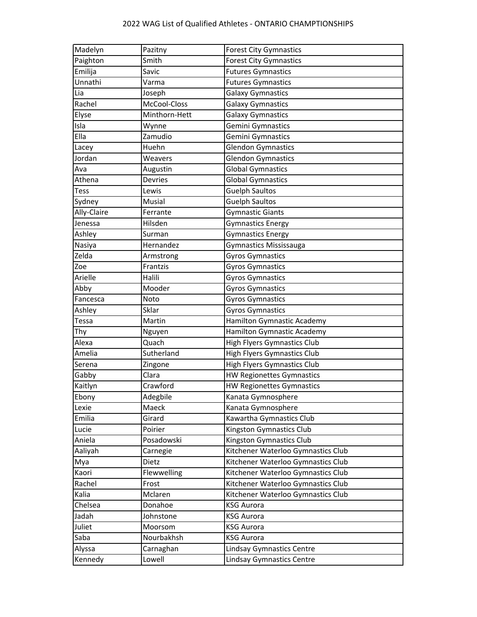| Madelyn     | Pazitny       | <b>Forest City Gymnastics</b>      |
|-------------|---------------|------------------------------------|
| Paighton    | Smith         | <b>Forest City Gymnastics</b>      |
| Emilija     | Savic         | <b>Futures Gymnastics</b>          |
| Unnathi     | Varma         | <b>Futures Gymnastics</b>          |
| Lia         | Joseph        | <b>Galaxy Gymnastics</b>           |
| Rachel      | McCool-Closs  | <b>Galaxy Gymnastics</b>           |
| Elyse       | Minthorn-Hett | <b>Galaxy Gymnastics</b>           |
| Isla        | Wynne         | Gemini Gymnastics                  |
| Ella        | Zamudio       | Gemini Gymnastics                  |
| Lacey       | Huehn         | <b>Glendon Gymnastics</b>          |
| Jordan      | Weavers       | <b>Glendon Gymnastics</b>          |
| Ava         | Augustin      | <b>Global Gymnastics</b>           |
| Athena      | Devries       | <b>Global Gymnastics</b>           |
| <b>Tess</b> | Lewis         | <b>Guelph Saultos</b>              |
| Sydney      | Musial        | <b>Guelph Saultos</b>              |
| Ally-Claire | Ferrante      | <b>Gymnastic Giants</b>            |
| Jenessa     | Hilsden       | <b>Gymnastics Energy</b>           |
| Ashley      | Surman        | <b>Gymnastics Energy</b>           |
| Nasiya      | Hernandez     | Gymnastics Mississauga             |
| Zelda       | Armstrong     | <b>Gyros Gymnastics</b>            |
| Zoe         | Frantzis      | <b>Gyros Gymnastics</b>            |
| Arielle     | Halili        | <b>Gyros Gymnastics</b>            |
| Abby        | Mooder        | <b>Gyros Gymnastics</b>            |
| Fancesca    | Noto          | <b>Gyros Gymnastics</b>            |
| Ashley      | Sklar         | <b>Gyros Gymnastics</b>            |
| Tessa       | Martin        | Hamilton Gymnastic Academy         |
| Thy         | Nguyen        | <b>Hamilton Gymnastic Academy</b>  |
| Alexa       | Quach         | High Flyers Gymnastics Club        |
| Amelia      | Sutherland    | <b>High Flyers Gymnastics Club</b> |
| Serena      | Zingone       | High Flyers Gymnastics Club        |
| Gabby       | Clara         | <b>HW Regionettes Gymnastics</b>   |
| Kaitlyn     | Crawford      | HW Regionettes Gymnastics          |
| Ebony       | Adegbile      | Kanata Gymnosphere                 |
| Lexie       | Maeck         | Kanata Gymnosphere                 |
| Emilia      | Girard        | Kawartha Gymnastics Club           |
| Lucie       | Poirier       | Kingston Gymnastics Club           |
| Aniela      | Posadowski    | Kingston Gymnastics Club           |
| Aaliyah     | Carnegie      | Kitchener Waterloo Gymnastics Club |
| Mya         | Dietz         | Kitchener Waterloo Gymnastics Club |
| Kaori       | Flewwelling   | Kitchener Waterloo Gymnastics Club |
| Rachel      | Frost         | Kitchener Waterloo Gymnastics Club |
| Kalia       | Mclaren       | Kitchener Waterloo Gymnastics Club |
| Chelsea     | Donahoe       | <b>KSG Aurora</b>                  |
| Jadah       | Johnstone     | <b>KSG Aurora</b>                  |
| Juliet      | Moorsom       | <b>KSG Aurora</b>                  |
| Saba        | Nourbakhsh    | <b>KSG Aurora</b>                  |
| Alyssa      | Carnaghan     | Lindsay Gymnastics Centre          |
| Kennedy     | Lowell        | Lindsay Gymnastics Centre          |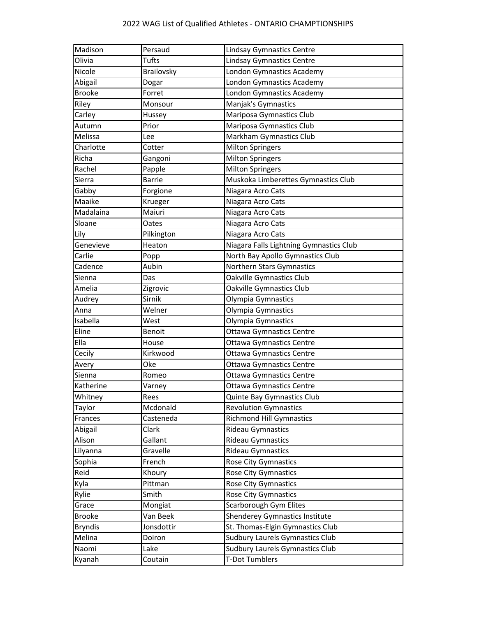| Madison        | Persaud       |                                         |
|----------------|---------------|-----------------------------------------|
|                |               | Lindsay Gymnastics Centre               |
| Olivia         | Tufts         | <b>Lindsay Gymnastics Centre</b>        |
| Nicole         | Brailovsky    | London Gymnastics Academy               |
| Abigail        | Dogar         | London Gymnastics Academy               |
| <b>Brooke</b>  | Forret        | London Gymnastics Academy               |
| Riley          | Monsour       | Manjak's Gymnastics                     |
| Carley         | Hussey        | Mariposa Gymnastics Club                |
| Autumn         | Prior         | Mariposa Gymnastics Club                |
| Melissa        | Lee           | Markham Gymnastics Club                 |
| Charlotte      | Cotter        | <b>Milton Springers</b>                 |
| Richa          | Gangoni       | <b>Milton Springers</b>                 |
| Rachel         | Papple        | <b>Milton Springers</b>                 |
| Sierra         | Barrie        | Muskoka Limberettes Gymnastics Club     |
| Gabby          | Forgione      | Niagara Acro Cats                       |
| Maaike         | Krueger       | Niagara Acro Cats                       |
| Madalaina      | Maiuri        | Niagara Acro Cats                       |
| Sloane         | Oates         | Niagara Acro Cats                       |
| Lily           | Pilkington    | Niagara Acro Cats                       |
| Genevieve      | Heaton        | Niagara Falls Lightning Gymnastics Club |
| Carlie         | Popp          | North Bay Apollo Gymnastics Club        |
| Cadence        | Aubin         | Northern Stars Gymnastics               |
| Sienna         | Das           | Oakville Gymnastics Club                |
| Amelia         | Zigrovic      | Oakville Gymnastics Club                |
| Audrey         | Sirnik        | Olympia Gymnastics                      |
| Anna           | Welner        | Olympia Gymnastics                      |
| Isabella       | West          | Olympia Gymnastics                      |
| Eline          | <b>Benoit</b> | Ottawa Gymnastics Centre                |
| Ella           | House         | Ottawa Gymnastics Centre                |
| Cecily         | Kirkwood      | Ottawa Gymnastics Centre                |
| Avery          | Oke           | Ottawa Gymnastics Centre                |
| Sienna         | Romeo         | Ottawa Gymnastics Centre                |
| Katherine      | Varney        | Ottawa Gymnastics Centre                |
| Whitney        | Rees          | Quinte Bay Gymnastics Club              |
| Taylor         | Mcdonald      | <b>Revolution Gymnastics</b>            |
| Frances        | Casteneda     | <b>Richmond Hill Gymnastics</b>         |
| Abigail        | Clark         | Rideau Gymnastics                       |
|                |               |                                         |
| Alison         | Gallant       | Rideau Gymnastics                       |
| Lilyanna       | Gravelle      | <b>Rideau Gymnastics</b>                |
| Sophia         | French        | Rose City Gymnastics                    |
| Reid           | Khoury        | Rose City Gymnastics                    |
| Kyla           | Pittman       | <b>Rose City Gymnastics</b>             |
| Rylie          | Smith         | <b>Rose City Gymnastics</b>             |
| Grace          | Mongiat       | Scarborough Gym Elites                  |
| <b>Brooke</b>  | Van Beek      | Shenderey Gymnastics Institute          |
| <b>Bryndis</b> | Jonsdottir    | St. Thomas-Elgin Gymnastics Club        |
| Melina         | Doiron        | <b>Sudbury Laurels Gymnastics Club</b>  |
| Naomi          | Lake          | <b>Sudbury Laurels Gymnastics Club</b>  |
| Kyanah         | Coutain       | <b>T-Dot Tumblers</b>                   |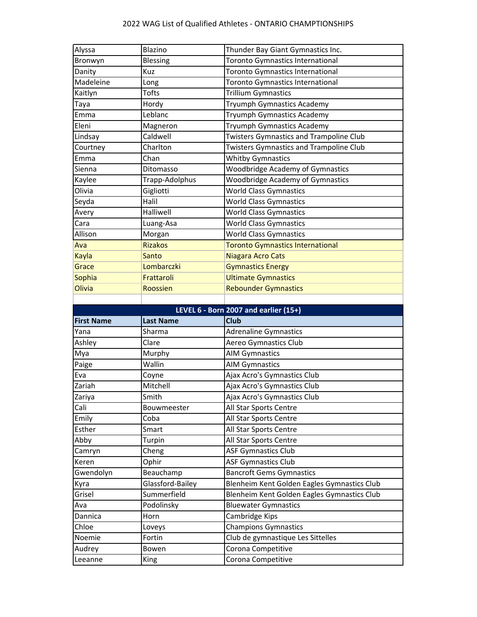| Alyssa            | Blazino          | Thunder Bay Giant Gymnastics Inc.                                |
|-------------------|------------------|------------------------------------------------------------------|
| Bronwyn           | Blessing         | Toronto Gymnastics International                                 |
| Danity            | Kuz              | Toronto Gymnastics International                                 |
| Madeleine         | Long             | Toronto Gymnastics International                                 |
| Kaitlyn           | Tofts            | Trillium Gymnastics                                              |
| Taya              | Hordy            | Tryumph Gymnastics Academy                                       |
| Emma              | Leblanc          | Tryumph Gymnastics Academy                                       |
| Eleni             | Magneron         | Tryumph Gymnastics Academy                                       |
| Lindsay           | Caldwell         | <b>Twisters Gymnastics and Trampoline Club</b>                   |
| Courtney          | Charlton         | <b>Twisters Gymnastics and Trampoline Club</b>                   |
| Emma              | Chan             | <b>Whitby Gymnastics</b>                                         |
| Sienna            | Ditomasso        | <b>Woodbridge Academy of Gymnastics</b>                          |
| Kaylee            | Trapp-Adolphus   | <b>Woodbridge Academy of Gymnastics</b>                          |
| Olivia            | Gigliotti        | <b>World Class Gymnastics</b>                                    |
| Seyda             | Halil            | <b>World Class Gymnastics</b>                                    |
| Avery             | Halliwell        | <b>World Class Gymnastics</b>                                    |
| Cara              | Luang-Asa        | <b>World Class Gymnastics</b>                                    |
| Allison           | Morgan           | <b>World Class Gymnastics</b>                                    |
| Ava               | <b>Rizakos</b>   | <b>Toronto Gymnastics International</b>                          |
| <b>Kayla</b>      | Santo            | Niagara Acro Cats                                                |
| Grace             | Lombarczki       | <b>Gymnastics Energy</b>                                         |
| Sophia            | Frattaroli       | <b>Ultimate Gymnastics</b>                                       |
| Olivia            | Roossien         | <b>Rebounder Gymnastics</b>                                      |
|                   |                  |                                                                  |
|                   |                  |                                                                  |
|                   |                  |                                                                  |
| <b>First Name</b> | <b>Last Name</b> | LEVEL 6 - Born 2007 and earlier (15+)<br><b>Club</b>             |
| Yana              | Sharma           | <b>Adrenaline Gymnastics</b>                                     |
| Ashley            | Clare            | Aereo Gymnastics Club                                            |
| Mya               | Murphy           | <b>AIM Gymnastics</b>                                            |
| Paige             | Wallin           | <b>AIM Gymnastics</b>                                            |
| Eva               | Coyne            | Ajax Acro's Gymnastics Club                                      |
| Zariah            | Mitchell         | Ajax Acro's Gymnastics Club                                      |
| Zariya            | Smith            | Ajax Acro's Gymnastics Club                                      |
| Cali              | Bouwmeester      | All Star Sports Centre                                           |
| Emily             | Coba             | All Star Sports Centre                                           |
| Esther            | Smart            | All Star Sports Centre                                           |
| Abby              | Turpin           | All Star Sports Centre                                           |
|                   | Cheng            | <b>ASF Gymnastics Club</b>                                       |
| Camryn<br>Keren   | Ophir            | <b>ASF Gymnastics Club</b>                                       |
| Gwendolyn         | Beauchamp        | <b>Bancroft Gems Gymnastics</b>                                  |
| Kyra              | Glassford-Bailey | Blenheim Kent Golden Eagles Gymnastics Club                      |
| Grisel            | Summerfield      | Blenheim Kent Golden Eagles Gymnastics Club                      |
| Ava               | Podolinsky       | <b>Bluewater Gymnastics</b>                                      |
| Dannica           | Horn             | Cambridge Kips                                                   |
| Chloe             | Loveys           |                                                                  |
| Noemie            | Fortin           | <b>Champions Gymnastics</b><br>Club de gymnastique Les Sittelles |
| Audrey            | Bowen            | Corona Competitive                                               |
|                   |                  |                                                                  |
|                   |                  |                                                                  |
|                   |                  |                                                                  |
|                   |                  |                                                                  |
|                   |                  |                                                                  |
|                   |                  |                                                                  |
|                   |                  |                                                                  |
|                   |                  |                                                                  |
|                   |                  |                                                                  |
|                   |                  |                                                                  |
|                   |                  |                                                                  |
|                   |                  |                                                                  |
| Leeanne           | King             | Corona Competitive                                               |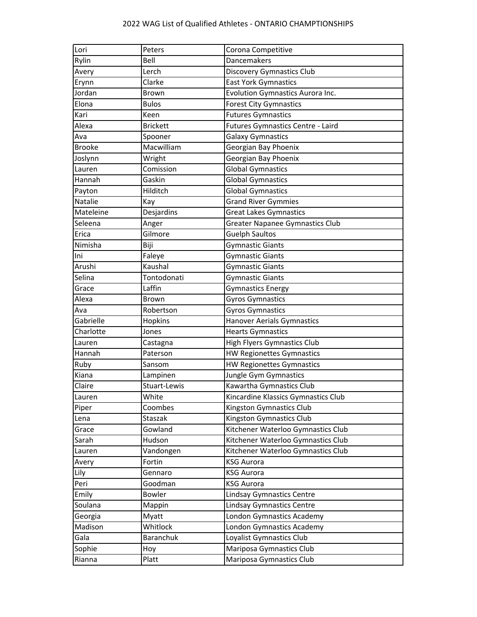| Lori          | Peters          | Corona Competitive                      |
|---------------|-----------------|-----------------------------------------|
| Rylin         | Bell            | Dancemakers                             |
| Avery         | Lerch           | Discovery Gymnastics Club               |
| Erynn         | Clarke          | <b>East York Gymnastics</b>             |
| Jordan        | <b>Brown</b>    | <b>Evolution Gymnastics Aurora Inc.</b> |
| Elona         | <b>Bulos</b>    | <b>Forest City Gymnastics</b>           |
| Kari          | Keen            | <b>Futures Gymnastics</b>               |
| Alexa         | <b>Brickett</b> | Futures Gymnastics Centre - Laird       |
| Ava           | Spooner         | Galaxy Gymnastics                       |
| <b>Brooke</b> | Macwilliam      | Georgian Bay Phoenix                    |
| Joslynn       | Wright          | Georgian Bay Phoenix                    |
| Lauren        | Comission       | <b>Global Gymnastics</b>                |
| Hannah        | Gaskin          | <b>Global Gymnastics</b>                |
| Payton        | Hilditch        | <b>Global Gymnastics</b>                |
| Natalie       | Kay             | <b>Grand River Gymmies</b>              |
| Mateleine     | Desjardins      | <b>Great Lakes Gymnastics</b>           |
| Seleena       | Anger           | <b>Greater Napanee Gymnastics Club</b>  |
| Erica         | Gilmore         | <b>Guelph Saultos</b>                   |
| Nimisha       | Biji            | <b>Gymnastic Giants</b>                 |
| Ini           | Faleye          | <b>Gymnastic Giants</b>                 |
| Arushi        | Kaushal         | <b>Gymnastic Giants</b>                 |
| Selina        | Tontodonati     | <b>Gymnastic Giants</b>                 |
| Grace         | Laffin          | Gymnastics Energy                       |
| Alexa         | <b>Brown</b>    | <b>Gyros Gymnastics</b>                 |
| Ava           | Robertson       | Gyros Gymnastics                        |
| Gabrielle     | <b>Hopkins</b>  | <b>Hanover Aerials Gymnastics</b>       |
| Charlotte     | Jones           | <b>Hearts Gymnastics</b>                |
| Lauren        | Castagna        | High Flyers Gymnastics Club             |
| Hannah        | Paterson        | <b>HW Regionettes Gymnastics</b>        |
| Ruby          | Sansom          | <b>HW Regionettes Gymnastics</b>        |
| Kiana         | Lampinen        | Jungle Gym Gymnastics                   |
| Claire        | Stuart-Lewis    | Kawartha Gymnastics Club                |
| Lauren        | White           | Kincardine Klassics Gymnastics Club     |
| Piper         | Coombes         | <b>Kingston Gymnastics Club</b>         |
| Lena          | Staszak         | Kingston Gymnastics Club                |
| Grace         | Gowland         | Kitchener Waterloo Gymnastics Club      |
| Sarah         | Hudson          | Kitchener Waterloo Gymnastics Club      |
| Lauren        | Vandongen       | Kitchener Waterloo Gymnastics Club      |
| Avery         | Fortin          | <b>KSG Aurora</b>                       |
| Lily          | Gennaro         | <b>KSG Aurora</b>                       |
| Peri          | Goodman         | <b>KSG Aurora</b>                       |
| Emily         | Bowler          | <b>Lindsay Gymnastics Centre</b>        |
| Soulana       | Mappin          | Lindsay Gymnastics Centre               |
| Georgia       | Myatt           | London Gymnastics Academy               |
| Madison       | Whitlock        | London Gymnastics Academy               |
| Gala          | Baranchuk       | Loyalist Gymnastics Club                |
| Sophie        | Hoy             | Mariposa Gymnastics Club                |
| Rianna        | Platt           | Mariposa Gymnastics Club                |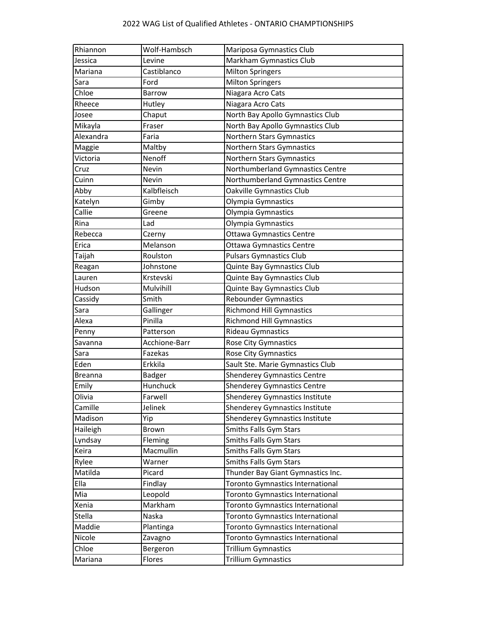| Rhiannon       | Wolf-Hambsch  | Mariposa Gymnastics Club                |
|----------------|---------------|-----------------------------------------|
| Jessica        | Levine        | Markham Gymnastics Club                 |
| Mariana        | Castiblanco   | <b>Milton Springers</b>                 |
| Sara           | Ford          | <b>Milton Springers</b>                 |
| Chloe          | Barrow        | Niagara Acro Cats                       |
| Rheece         | Hutley        | Niagara Acro Cats                       |
| Josee          | Chaput        | North Bay Apollo Gymnastics Club        |
| Mikayla        | Fraser        | North Bay Apollo Gymnastics Club        |
| Alexandra      | Faria         | Northern Stars Gymnastics               |
| Maggie         | Maltby        | Northern Stars Gymnastics               |
| Victoria       | Nenoff        | Northern Stars Gymnastics               |
| Cruz           | Nevin         | Northumberland Gymnastics Centre        |
| Cuinn          | Nevin         | Northumberland Gymnastics Centre        |
| Abby           | Kalbfleisch   | Oakville Gymnastics Club                |
| Katelyn        | Gimby         | Olympia Gymnastics                      |
| Callie         | Greene        | Olympia Gymnastics                      |
| Rina           | Lad           | Olympia Gymnastics                      |
| Rebecca        | Czerny        | Ottawa Gymnastics Centre                |
| Erica          | Melanson      | Ottawa Gymnastics Centre                |
| Taijah         | Roulston      | <b>Pulsars Gymnastics Club</b>          |
| Reagan         | Johnstone     | Quinte Bay Gymnastics Club              |
| Lauren         | Krstevski     | Quinte Bay Gymnastics Club              |
| Hudson         | Mulvihill     | Quinte Bay Gymnastics Club              |
| Cassidy        | Smith         | <b>Rebounder Gymnastics</b>             |
| Sara           | Gallinger     | <b>Richmond Hill Gymnastics</b>         |
| Alexa          | Pinilla       | <b>Richmond Hill Gymnastics</b>         |
| Penny          | Patterson     | Rideau Gymnastics                       |
| Savanna        | Acchione-Barr | Rose City Gymnastics                    |
| Sara           | Fazekas       | Rose City Gymnastics                    |
| Eden           | Erkkila       | Sault Ste. Marie Gymnastics Club        |
| <b>Breanna</b> | <b>Badger</b> | <b>Shenderey Gymnastics Centre</b>      |
| Emily          | Hunchuck      | <b>Shenderey Gymnastics Centre</b>      |
| Olivia         | Farwell       | Shenderey Gymnastics Institute          |
| Camille        | Jelinek       | <b>Shenderey Gymnastics Institute</b>   |
| Madison        | Yip           | Shenderey Gymnastics Institute          |
| Haileigh       | <b>Brown</b>  | Smiths Falls Gym Stars                  |
| Lyndsay        | Fleming       | Smiths Falls Gym Stars                  |
| Keira          | Macmullin     | Smiths Falls Gym Stars                  |
| Rylee          | Warner        | Smiths Falls Gym Stars                  |
| Matilda        | Picard        | Thunder Bay Giant Gymnastics Inc.       |
| Ella           | Findlay       | <b>Toronto Gymnastics International</b> |
| Mia            | Leopold       | <b>Toronto Gymnastics International</b> |
| Xenia          | Markham       | <b>Toronto Gymnastics International</b> |
| Stella         | Naska         | <b>Toronto Gymnastics International</b> |
| Maddie         | Plantinga     | Toronto Gymnastics International        |
| Nicole         | Zavagno       | Toronto Gymnastics International        |
| Chloe          | Bergeron      | <b>Trillium Gymnastics</b>              |
| Mariana        | Flores        | <b>Trillium Gymnastics</b>              |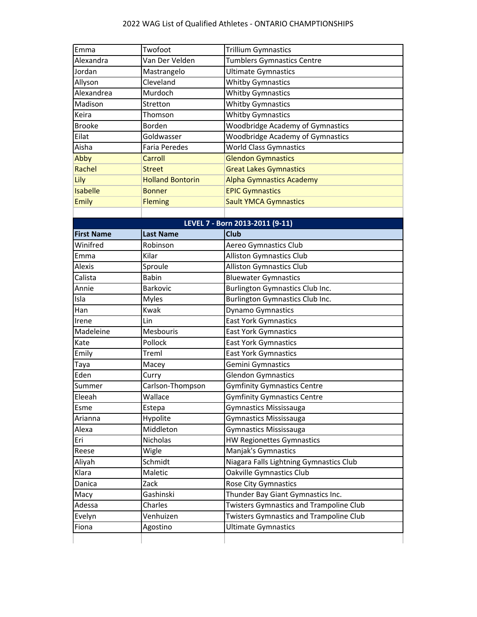| Emma              | Twofoot                 | <b>Trillium Gymnastics</b>                     |
|-------------------|-------------------------|------------------------------------------------|
| Alexandra         | Van Der Velden          | <b>Tumblers Gymnastics Centre</b>              |
| Jordan            | Mastrangelo             | <b>Ultimate Gymnastics</b>                     |
| Allyson           | Cleveland               | <b>Whitby Gymnastics</b>                       |
| Alexandrea        | Murdoch                 | <b>Whitby Gymnastics</b>                       |
| Madison           | Stretton                | <b>Whitby Gymnastics</b>                       |
| Keira             | Thomson                 | <b>Whitby Gymnastics</b>                       |
| <b>Brooke</b>     | Borden                  | <b>Woodbridge Academy of Gymnastics</b>        |
| Eilat             | Goldwasser              | <b>Woodbridge Academy of Gymnastics</b>        |
| Aisha             | <b>Faria Peredes</b>    | <b>World Class Gymnastics</b>                  |
| Abby              | Carroll                 | <b>Glendon Gymnastics</b>                      |
| Rachel            | <b>Street</b>           | <b>Great Lakes Gymnastics</b>                  |
| Lily              | <b>Holland Bontorin</b> | <b>Alpha Gymnastics Academy</b>                |
| <b>Isabelle</b>   | <b>Bonner</b>           | <b>EPIC Gymnastics</b>                         |
| <b>Emily</b>      | <b>Fleming</b>          | <b>Sault YMCA Gymnastics</b>                   |
|                   |                         |                                                |
|                   |                         | LEVEL 7 - Born 2013-2011 (9-11)                |
| <b>First Name</b> | <b>Last Name</b>        | <b>Club</b>                                    |
| Winifred          | Robinson                | Aereo Gymnastics Club                          |
| Emma              | Kilar                   | <b>Alliston Gymnastics Club</b>                |
| <b>Alexis</b>     | Sproule                 | <b>Alliston Gymnastics Club</b>                |
| Calista           | <b>Babin</b>            | <b>Bluewater Gymnastics</b>                    |
| Annie             | Barkovic                | Burlington Gymnastics Club Inc.                |
| Isla              | <b>Myles</b>            | Burlington Gymnastics Club Inc.                |
| Han               | Kwak                    | <b>Dynamo Gymnastics</b>                       |
| Irene             | Lin                     | <b>East York Gymnastics</b>                    |
| Madeleine         | Mesbouris               | <b>East York Gymnastics</b>                    |
| Kate              | Pollock                 | <b>East York Gymnastics</b>                    |
| Emily             | Treml                   | <b>East York Gymnastics</b>                    |
| Taya              | Macey                   | Gemini Gymnastics                              |
| Eden              | Curry                   | <b>Glendon Gymnastics</b>                      |
| Summer            | Carlson-Thompson        | <b>Gymfinity Gymnastics Centre</b>             |
| Eleeah            | Wallace                 | <b>Gymfinity Gymnastics Centre</b>             |
| Esme              |                         | Gymnastics Mississauga                         |
|                   | Estepa                  |                                                |
| Arianna           | Hypolite                | <b>Gymnastics Mississauga</b>                  |
| Alexa             | Middleton               | Gymnastics Mississauga                         |
| Eri               | Nicholas                | HW Regionettes Gymnastics                      |
| Reese             | Wigle                   | Manjak's Gymnastics                            |
| Aliyah            | Schmidt                 | Niagara Falls Lightning Gymnastics Club        |
| Klara             | Maletic                 | <b>Oakville Gymnastics Club</b>                |
| Danica            | Zack                    | <b>Rose City Gymnastics</b>                    |
| Macy              | Gashinski               | Thunder Bay Giant Gymnastics Inc.              |
| Adessa            | Charles                 | <b>Twisters Gymnastics and Trampoline Club</b> |
| Evelyn            | Venhuizen               | <b>Twisters Gymnastics and Trampoline Club</b> |
| Fiona             | Agostino                | <b>Ultimate Gymnastics</b>                     |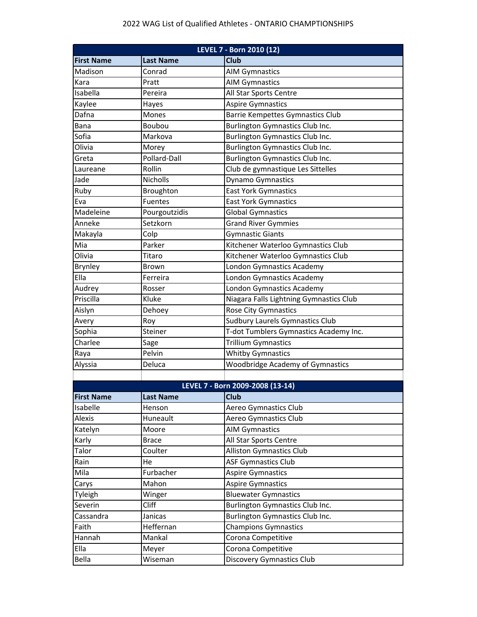| LEVEL 7 - Born 2010 (12) |                  |                                         |  |
|--------------------------|------------------|-----------------------------------------|--|
| <b>First Name</b>        | <b>Last Name</b> | <b>Club</b>                             |  |
| Madison                  | Conrad           | <b>AIM Gymnastics</b>                   |  |
| Kara                     | Pratt            | <b>AIM Gymnastics</b>                   |  |
| Isabella                 | Pereira          | All Star Sports Centre                  |  |
| Kaylee                   | Hayes            | <b>Aspire Gymnastics</b>                |  |
| Dafna                    | Mones            | Barrie Kempettes Gymnastics Club        |  |
| Bana                     | Boubou           | Burlington Gymnastics Club Inc.         |  |
| Sofia                    | Markova          | Burlington Gymnastics Club Inc.         |  |
| Olivia                   | Morey            | Burlington Gymnastics Club Inc.         |  |
| Greta                    | Pollard-Dall     | <b>Burlington Gymnastics Club Inc.</b>  |  |
| Laureane                 | Rollin           | Club de gymnastique Les Sittelles       |  |
| Jade                     | <b>Nicholls</b>  | Dynamo Gymnastics                       |  |
| Ruby                     | Broughton        | <b>East York Gymnastics</b>             |  |
| Eva                      | Fuentes          | <b>East York Gymnastics</b>             |  |
| Madeleine                | Pourgoutzidis    | <b>Global Gymnastics</b>                |  |
| Anneke                   | Setzkorn         | <b>Grand River Gymmies</b>              |  |
| Makayla                  | Colp             | <b>Gymnastic Giants</b>                 |  |
| Mia                      | Parker           | Kitchener Waterloo Gymnastics Club      |  |
| Olivia                   | Titaro           | Kitchener Waterloo Gymnastics Club      |  |
| <b>Brynley</b>           | Brown            | London Gymnastics Academy               |  |
| Ella                     | Ferreira         | London Gymnastics Academy               |  |
| Audrey                   | Rosser           | London Gymnastics Academy               |  |
| Priscilla                | Kluke            | Niagara Falls Lightning Gymnastics Club |  |
| Aislyn                   | Dehoey           | <b>Rose City Gymnastics</b>             |  |
| Avery                    | Roy              | Sudbury Laurels Gymnastics Club         |  |
| Sophia                   | Steiner          | T-dot Tumblers Gymnastics Academy Inc.  |  |
| Charlee                  | Sage             | <b>Trillium Gymnastics</b>              |  |
| Raya                     | Pelvin           | <b>Whitby Gymnastics</b>                |  |
| Alyssia                  | Deluca           | <b>Woodbridge Academy of Gymnastics</b> |  |
|                          |                  |                                         |  |
|                          |                  | LEVEL 7 - Born 2009-2008 (13-14)        |  |
| <b>First Name</b>        | Last Name        | <b>Club</b>                             |  |
| Isabelle                 | Henson           | Aereo Gymnastics Club                   |  |
| Alexis                   | Huneault         | Aereo Gymnastics Club                   |  |
| Katelyn                  | Moore            | <b>AIM Gymnastics</b>                   |  |
| Karly                    | <b>Brace</b>     | All Star Sports Centre                  |  |
| Talor                    | Coulter          | <b>Alliston Gymnastics Club</b>         |  |
| Rain                     | He               | <b>ASF Gymnastics Club</b>              |  |
| Mila                     | Furbacher        | <b>Aspire Gymnastics</b>                |  |
| Carys                    | Mahon            | <b>Aspire Gymnastics</b>                |  |
| Tyleigh                  | Winger           | <b>Bluewater Gymnastics</b>             |  |
| Severin                  | <b>Cliff</b>     | <b>Burlington Gymnastics Club Inc.</b>  |  |
| Cassandra                | Janicas          | Burlington Gymnastics Club Inc.         |  |
| Faith                    | Heffernan        | <b>Champions Gymnastics</b>             |  |
| Hannah                   | Mankal           | Corona Competitive                      |  |
| Ella                     | Meyer            | Corona Competitive                      |  |
| Bella                    | Wiseman          | Discovery Gymnastics Club               |  |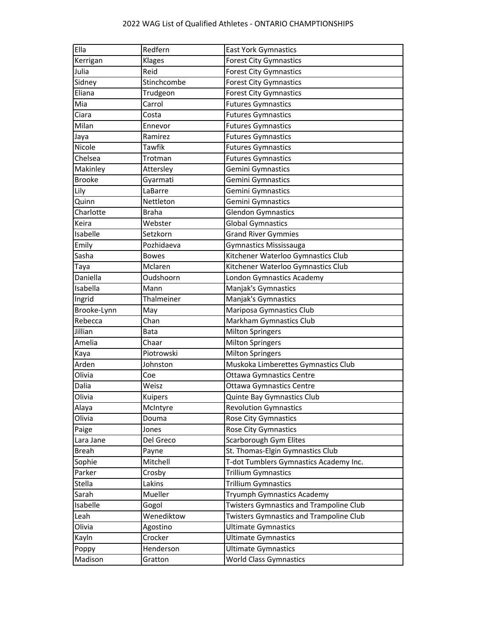| Ella          | Redfern      | <b>East York Gymnastics</b>                    |
|---------------|--------------|------------------------------------------------|
| Kerrigan      | Klages       | <b>Forest City Gymnastics</b>                  |
| Julia         | Reid         | <b>Forest City Gymnastics</b>                  |
| Sidney        | Stinchcombe  | <b>Forest City Gymnastics</b>                  |
| Eliana        | Trudgeon     | <b>Forest City Gymnastics</b>                  |
| Mia           | Carrol       | <b>Futures Gymnastics</b>                      |
| Ciara         | Costa        | <b>Futures Gymnastics</b>                      |
| Milan         | Ennevor      | <b>Futures Gymnastics</b>                      |
| Jaya          | Ramirez      | <b>Futures Gymnastics</b>                      |
| Nicole        | Tawfik       | <b>Futures Gymnastics</b>                      |
| Chelsea       | Trotman      | <b>Futures Gymnastics</b>                      |
| Makinley      | Attersley    | Gemini Gymnastics                              |
| <b>Brooke</b> | Gyarmati     | Gemini Gymnastics                              |
| Lily          | LaBarre      | Gemini Gymnastics                              |
| Quinn         | Nettleton    | Gemini Gymnastics                              |
| Charlotte     | <b>Braha</b> | <b>Glendon Gymnastics</b>                      |
| Keira         | Webster      | <b>Global Gymnastics</b>                       |
| Isabelle      | Setzkorn     | <b>Grand River Gymmies</b>                     |
| Emily         | Pozhidaeva   | Gymnastics Mississauga                         |
| Sasha         | <b>Bowes</b> | Kitchener Waterloo Gymnastics Club             |
| Taya          | Mclaren      | Kitchener Waterloo Gymnastics Club             |
| Daniella      | Oudshoorn    | London Gymnastics Academy                      |
| Isabella      | Mann         | Manjak's Gymnastics                            |
| Ingrid        | Thalmeiner   | Manjak's Gymnastics                            |
| Brooke-Lynn   | May          | Mariposa Gymnastics Club                       |
| Rebecca       | Chan         | Markham Gymnastics Club                        |
| Jillian       | <b>Bata</b>  | <b>Milton Springers</b>                        |
| Amelia        | Chaar        | <b>Milton Springers</b>                        |
| Kaya          | Piotrowski   | <b>Milton Springers</b>                        |
| Arden         | Johnston     | Muskoka Limberettes Gymnastics Club            |
| Olivia        | Coe          | Ottawa Gymnastics Centre                       |
| Dalia         | Weisz        | Ottawa Gymnastics Centre                       |
| Olivia        | Kuipers      | Quinte Bay Gymnastics Club                     |
| Alaya         | McIntyre     | <b>Revolution Gymnastics</b>                   |
| Olivia        | Douma        | Rose City Gymnastics                           |
| Paige         | Jones        | Rose City Gymnastics                           |
| Lara Jane     | Del Greco    | Scarborough Gym Elites                         |
| <b>Breah</b>  | Payne        | St. Thomas-Elgin Gymnastics Club               |
| Sophie        | Mitchell     | T-dot Tumblers Gymnastics Academy Inc.         |
| Parker        | Crosby       | <b>Trillium Gymnastics</b>                     |
| Stella        | Lakins       | Trillium Gymnastics                            |
| Sarah         | Mueller      | Tryumph Gymnastics Academy                     |
| Isabelle      | Gogol        | <b>Twisters Gymnastics and Trampoline Club</b> |
| Leah          | Wenediktow   | <b>Twisters Gymnastics and Trampoline Club</b> |
| Olivia        | Agostino     | <b>Ultimate Gymnastics</b>                     |
| Kayln         | Crocker      | <b>Ultimate Gymnastics</b>                     |
| Poppy         | Henderson    | <b>Ultimate Gymnastics</b>                     |
| Madison       | Gratton      | <b>World Class Gymnastics</b>                  |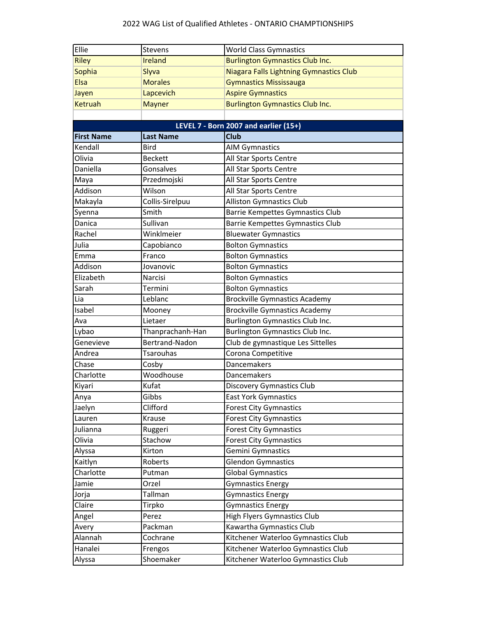| Ellie             | Stevens          | <b>World Class Gymnastics</b>           |
|-------------------|------------------|-----------------------------------------|
| <b>Riley</b>      | <b>Ireland</b>   | <b>Burlington Gymnastics Club Inc.</b>  |
| Sophia            | Slyva            | Niagara Falls Lightning Gymnastics Club |
| Elsa              | <b>Morales</b>   | <b>Gymnastics Mississauga</b>           |
| Jayen             | Lapcevich        | <b>Aspire Gymnastics</b>                |
| <b>Ketruah</b>    | <b>Mayner</b>    | <b>Burlington Gymnastics Club Inc.</b>  |
|                   |                  |                                         |
|                   |                  | LEVEL 7 - Born 2007 and earlier (15+)   |
| <b>First Name</b> | <b>Last Name</b> | <b>Club</b>                             |
| Kendall           | <b>Bird</b>      | <b>AIM Gymnastics</b>                   |
| Olivia            | <b>Beckett</b>   | All Star Sports Centre                  |
| Daniella          | Gonsalves        | All Star Sports Centre                  |
| Maya              | Przedmojski      | All Star Sports Centre                  |
| Addison           | Wilson           | All Star Sports Centre                  |
| Makayla           | Collis-Sirelpuu  | <b>Alliston Gymnastics Club</b>         |
| Syenna            | Smith            | Barrie Kempettes Gymnastics Club        |
| Danica            | Sullivan         | <b>Barrie Kempettes Gymnastics Club</b> |
| Rachel            | Winklmeier       | <b>Bluewater Gymnastics</b>             |
| Julia             | Capobianco       | <b>Bolton Gymnastics</b>                |
| Emma              | Franco           | <b>Bolton Gymnastics</b>                |
| Addison           | Jovanovic        | <b>Bolton Gymnastics</b>                |
| Elizabeth         | Narcisi          | <b>Bolton Gymnastics</b>                |
| Sarah             | Termini          | <b>Bolton Gymnastics</b>                |
| Lia               | Leblanc          | <b>Brockville Gymnastics Academy</b>    |
| Isabel            | Mooney           | <b>Brockville Gymnastics Academy</b>    |
| Ava               | Lietaer          | Burlington Gymnastics Club Inc.         |
| Lybao             | Thanprachanh-Han | Burlington Gymnastics Club Inc.         |
| Genevieve         | Bertrand-Nadon   | Club de gymnastique Les Sittelles       |
| Andrea            | <b>Tsarouhas</b> | Corona Competitive                      |
| Chase             | Cosby            | Dancemakers                             |
| Charlotte         | Woodhouse        | Dancemakers                             |
| Kiyari            | Kufat            | <b>Discovery Gymnastics Club</b>        |
| Anya              | Gibbs            | <b>East York Gymnastics</b>             |
| Jaelyn            | Clifford         | <b>Forest City Gymnastics</b>           |
| Lauren            | Krause           | <b>Forest City Gymnastics</b>           |
| Julianna          | Ruggeri          | <b>Forest City Gymnastics</b>           |
| Olivia            | Stachow          | <b>Forest City Gymnastics</b>           |
| Alyssa            | Kirton           | Gemini Gymnastics                       |
| Kaitlyn           | Roberts          | <b>Glendon Gymnastics</b>               |
| Charlotte         | Putman           | <b>Global Gymnastics</b>                |
| Jamie             | Orzel            | <b>Gymnastics Energy</b>                |
| Jorja             | Tallman          | <b>Gymnastics Energy</b>                |
| Claire            | Tirpko           | <b>Gymnastics Energy</b>                |
| Angel             | Perez            | High Flyers Gymnastics Club             |
| Avery             | Packman          | Kawartha Gymnastics Club                |
| Alannah           | Cochrane         | Kitchener Waterloo Gymnastics Club      |
| Hanalei           | Frengos          | Kitchener Waterloo Gymnastics Club      |
| Alyssa            | Shoemaker        | Kitchener Waterloo Gymnastics Club      |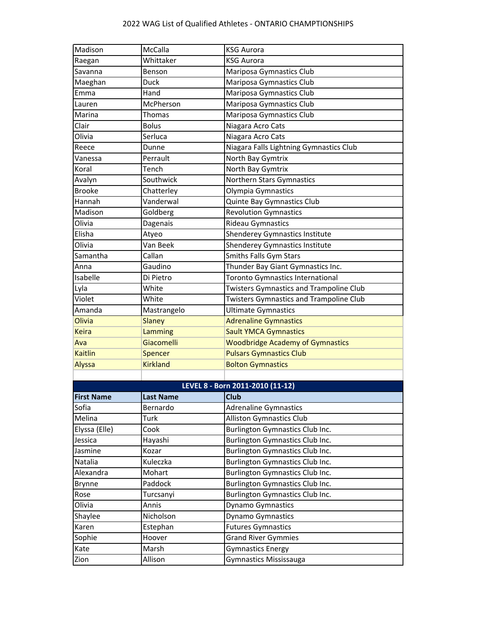| Madison           | McCalla          | <b>KSG Aurora</b>                              |
|-------------------|------------------|------------------------------------------------|
| Raegan            | Whittaker        | <b>KSG Aurora</b>                              |
| Savanna           | Benson           | Mariposa Gymnastics Club                       |
| Maeghan           | Duck             | Mariposa Gymnastics Club                       |
| Emma              | Hand             | Mariposa Gymnastics Club                       |
| Lauren            | McPherson        | Mariposa Gymnastics Club                       |
| Marina            | <b>Thomas</b>    | Mariposa Gymnastics Club                       |
| Clair             | <b>Bolus</b>     | Niagara Acro Cats                              |
| Olivia            | Serluca          | Niagara Acro Cats                              |
| Reece             | Dunne            | Niagara Falls Lightning Gymnastics Club        |
| Vanessa           | Perrault         | North Bay Gymtrix                              |
| Koral             | Tench            | North Bay Gymtrix                              |
| Avalyn            | Southwick        | Northern Stars Gymnastics                      |
| <b>Brooke</b>     | Chatterley       | Olympia Gymnastics                             |
| Hannah            | Vanderwal        | Quinte Bay Gymnastics Club                     |
| Madison           | Goldberg         | <b>Revolution Gymnastics</b>                   |
| Olivia            | Dagenais         | Rideau Gymnastics                              |
| Elisha            | Atyeo            | <b>Shenderey Gymnastics Institute</b>          |
| Olivia            | Van Beek         | Shenderey Gymnastics Institute                 |
| Samantha          | Callan           | Smiths Falls Gym Stars                         |
| Anna              | Gaudino          | Thunder Bay Giant Gymnastics Inc.              |
| Isabelle          | Di Pietro        | <b>Toronto Gymnastics International</b>        |
| Lyla              | White            | <b>Twisters Gymnastics and Trampoline Club</b> |
| Violet            | White            | <b>Twisters Gymnastics and Trampoline Club</b> |
| Amanda            | Mastrangelo      | <b>Ultimate Gymnastics</b>                     |
| Olivia            | <b>Slaney</b>    | <b>Adrenaline Gymnastics</b>                   |
| <b>Keira</b>      | Lamming          | <b>Sault YMCA Gymnastics</b>                   |
| Ava               | Giacomelli       | <b>Woodbridge Academy of Gymnastics</b>        |
| <b>Kaitlin</b>    | Spencer          | <b>Pulsars Gymnastics Club</b>                 |
| <b>Alyssa</b>     | <b>Kirkland</b>  | <b>Bolton Gymnastics</b>                       |
|                   |                  |                                                |
|                   |                  | LEVEL 8 - Born 2011-2010 (11-12)               |
| <b>First Name</b> | <b>Last Name</b> | Club                                           |
| Sofia             | Bernardo         | <b>Adrenaline Gymnastics</b>                   |
| Melina            | Turk             | <b>Alliston Gymnastics Club</b>                |
| Elyssa (Elle)     | Cook             | Burlington Gymnastics Club Inc.                |
| Jessica           | Hayashi          | Burlington Gymnastics Club Inc.                |
| Jasmine           | Kozar            | Burlington Gymnastics Club Inc.                |
| Natalia           | Kuleczka         | Burlington Gymnastics Club Inc.                |
| Alexandra         | Mohart           | <b>Burlington Gymnastics Club Inc.</b>         |
| Brynne            |                  |                                                |
|                   | Paddock          | Burlington Gymnastics Club Inc.                |
| Rose              | Turcsanyi        | Burlington Gymnastics Club Inc.                |
| Olivia            | Annis            | Dynamo Gymnastics                              |
| Shaylee           | Nicholson        | Dynamo Gymnastics                              |
| Karen             | Estephan         | <b>Futures Gymnastics</b>                      |
| Sophie            | Hoover           | <b>Grand River Gymmies</b>                     |
| Kate              | Marsh            | <b>Gymnastics Energy</b>                       |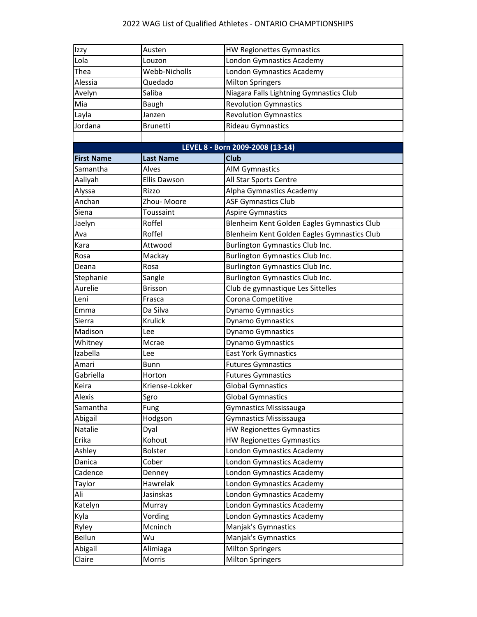| Izzy              | Austen              | HW Regionettes Gymnastics                   |
|-------------------|---------------------|---------------------------------------------|
| Lola              | Louzon              | London Gymnastics Academy                   |
| Thea              | Webb-Nicholls       | London Gymnastics Academy                   |
| Alessia           | Quedado             | <b>Milton Springers</b>                     |
| Avelyn            | Saliba              | Niagara Falls Lightning Gymnastics Club     |
| Mia               | Baugh               | <b>Revolution Gymnastics</b>                |
| Layla             | Janzen              | <b>Revolution Gymnastics</b>                |
| Jordana           | <b>Brunetti</b>     | Rideau Gymnastics                           |
|                   |                     |                                             |
|                   |                     | LEVEL 8 - Born 2009-2008 (13-14)            |
| <b>First Name</b> | <b>Last Name</b>    | <b>Club</b>                                 |
| Samantha          | Alves               | <b>AIM Gymnastics</b>                       |
| Aaliyah           | <b>Ellis Dawson</b> | All Star Sports Centre                      |
| Alyssa            | Rizzo               | Alpha Gymnastics Academy                    |
| Anchan            | Zhou-Moore          | <b>ASF Gymnastics Club</b>                  |
| Siena             | Toussaint           | <b>Aspire Gymnastics</b>                    |
| Jaelyn            | Roffel              | Blenheim Kent Golden Eagles Gymnastics Club |
| Ava               | Roffel              | Blenheim Kent Golden Eagles Gymnastics Club |
| Kara              | Attwood             | Burlington Gymnastics Club Inc.             |
| Rosa              | Mackay              | <b>Burlington Gymnastics Club Inc.</b>      |
| Deana             | Rosa                | Burlington Gymnastics Club Inc.             |
| Stephanie         | Sangle              | Burlington Gymnastics Club Inc.             |
| Aurelie           | <b>Brisson</b>      | Club de gymnastique Les Sittelles           |
| Leni              | Frasca              | Corona Competitive                          |
| Emma              | Da Silva            | <b>Dynamo Gymnastics</b>                    |
| Sierra            | Krulick             | <b>Dynamo Gymnastics</b>                    |
| Madison           | Lee                 | <b>Dynamo Gymnastics</b>                    |
| Whitney           | Mcrae               | <b>Dynamo Gymnastics</b>                    |
| Izabella          | Lee                 | East York Gymnastics                        |
| Amari             | <b>Bunn</b>         | <b>Futures Gymnastics</b>                   |
| Gabriella         | Horton              | <b>Futures Gymnastics</b>                   |
| Keira             | Kriense-Lokker      | <b>Global Gymnastics</b>                    |
| Alexis            | Sgro                | <b>Global Gymnastics</b>                    |
| Samantha          | Fung                | Gymnastics Mississauga                      |
| Abigail           | Hodgson             | Gymnastics Mississauga                      |
| Natalie           | Dyal                | <b>HW Regionettes Gymnastics</b>            |
| Erika             | Kohout              | HW Regionettes Gymnastics                   |
| Ashley            | Bolster             | London Gymnastics Academy                   |
| Danica            | Cober               | London Gymnastics Academy                   |
| Cadence           | Denney              | London Gymnastics Academy                   |
| Taylor            | Hawrelak            | London Gymnastics Academy                   |
| Ali               | Jasinskas           | London Gymnastics Academy                   |
| Katelyn           | Murray              | London Gymnastics Academy                   |
| Kyla              | Vording             | London Gymnastics Academy                   |
| Ryley             | Mcninch             | Manjak's Gymnastics                         |
| Beilun            | Wu                  | Manjak's Gymnastics                         |
| Abigail           | Alimiaga            | <b>Milton Springers</b>                     |
| Claire            | Morris              | <b>Milton Springers</b>                     |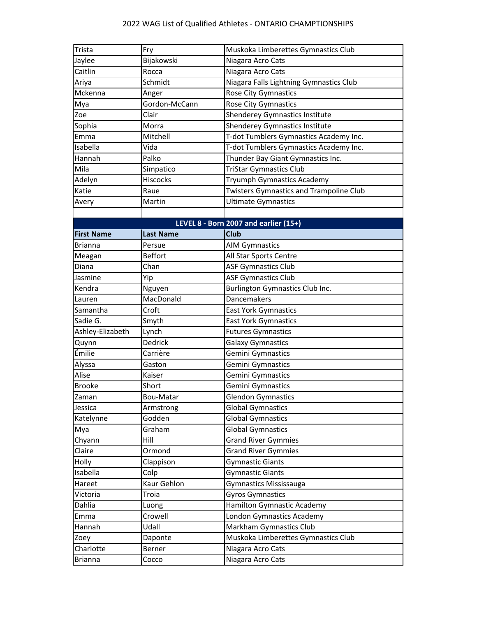| Trista            | Fry              | Muskoka Limberettes Gymnastics Club     |
|-------------------|------------------|-----------------------------------------|
| Jaylee            | Bijakowski       | Niagara Acro Cats                       |
| Caitlin           | Rocca            | Niagara Acro Cats                       |
| Ariya             | Schmidt          | Niagara Falls Lightning Gymnastics Club |
| Mckenna           | Anger            | Rose City Gymnastics                    |
| Mya               | Gordon-McCann    | Rose City Gymnastics                    |
| Zoe               | Clair            | Shenderey Gymnastics Institute          |
| Sophia            | Morra            | Shenderey Gymnastics Institute          |
| Emma              | Mitchell         | T-dot Tumblers Gymnastics Academy Inc.  |
| Isabella          | Vida             | T-dot Tumblers Gymnastics Academy Inc.  |
| Hannah            | Palko            | Thunder Bay Giant Gymnastics Inc.       |
| Mila              | Simpatico        | <b>TriStar Gymnastics Club</b>          |
| Adelyn            | Hiscocks         | Tryumph Gymnastics Academy              |
| Katie             | Raue             | Twisters Gymnastics and Trampoline Club |
| Avery             | Martin           | <b>Ultimate Gymnastics</b>              |
|                   |                  |                                         |
|                   |                  | LEVEL 8 - Born 2007 and earlier (15+)   |
| <b>First Name</b> | <b>Last Name</b> | <b>Club</b>                             |
| <b>Brianna</b>    | Persue           | <b>AIM Gymnastics</b>                   |
| Meagan            | <b>Beffort</b>   | All Star Sports Centre                  |
| Diana             | Chan             | <b>ASF Gymnastics Club</b>              |
| Jasmine           | Yip              | <b>ASF Gymnastics Club</b>              |
| Kendra            | Nguyen           | <b>Burlington Gymnastics Club Inc.</b>  |
| Lauren            | MacDonald        | Dancemakers                             |
| Samantha          | Croft            |                                         |
| Sadie G.          |                  | <b>East York Gymnastics</b>             |
|                   | Smyth            | <b>East York Gymnastics</b>             |
| Ashley-Elizabeth  | Lynch            | <b>Futures Gymnastics</b>               |
| Quynn             | <b>Dedrick</b>   | Galaxy Gymnastics                       |
| Émilie            | Carrière         | Gemini Gymnastics                       |
| Alyssa            | Gaston           | Gemini Gymnastics                       |
| Alise             | Kaiser           | Gemini Gymnastics                       |
| <b>Brooke</b>     | Short            | Gemini Gymnastics                       |
| Zaman             | Bou-Matar        | <b>Glendon Gymnastics</b>               |
| Jessica           | Armstrong        | <b>Global Gymnastics</b>                |
| Katelynne         | Godden           | <b>Global Gymnastics</b>                |
| Mya               | Graham           | <b>Global Gymnastics</b>                |
| Chyann            | Hill             | <b>Grand River Gymmies</b>              |
| Claire            | Ormond           | <b>Grand River Gymmies</b>              |
| Holly             | Clappison        | <b>Gymnastic Giants</b>                 |
| Isabella          | Colp             | <b>Gymnastic Giants</b>                 |
| Hareet            | Kaur Gehlon      | Gymnastics Mississauga                  |
| Victoria          | Troia            | <b>Gyros Gymnastics</b>                 |
| Dahlia            | Luong            | Hamilton Gymnastic Academy              |
| Emma              | Crowell          | London Gymnastics Academy               |
| Hannah            | Udall            | Markham Gymnastics Club                 |
| Zoey              | Daponte          | Muskoka Limberettes Gymnastics Club     |
| Charlotte         | Berner           | Niagara Acro Cats                       |
| <b>Brianna</b>    | Cocco            | Niagara Acro Cats                       |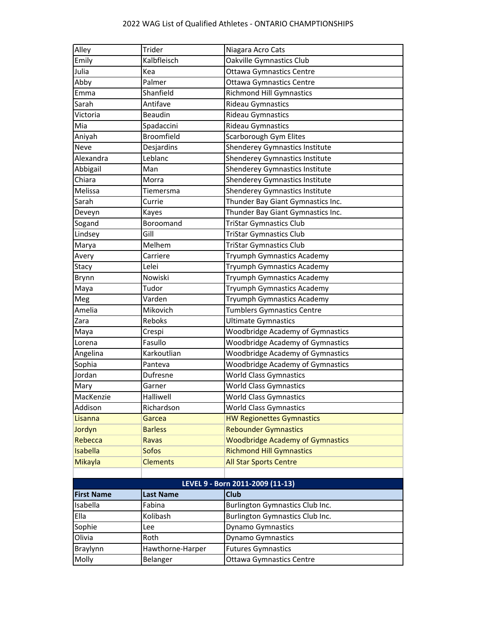| Alley                            | Trider            | Niagara Acro Cats                       |
|----------------------------------|-------------------|-----------------------------------------|
| Emily                            | Kalbfleisch       | Oakville Gymnastics Club                |
| Julia                            | Kea               | <b>Ottawa Gymnastics Centre</b>         |
| Abby                             | Palmer            | Ottawa Gymnastics Centre                |
| Emma                             | Shanfield         | <b>Richmond Hill Gymnastics</b>         |
| Sarah                            | Antifave          | Rideau Gymnastics                       |
| Victoria                         | Beaudin           | Rideau Gymnastics                       |
| Mia                              | Spadaccini        | <b>Rideau Gymnastics</b>                |
| Aniyah                           | <b>Broomfield</b> | Scarborough Gym Elites                  |
| Neve                             | Desjardins        | Shenderey Gymnastics Institute          |
| Alexandra                        | Leblanc           | <b>Shenderey Gymnastics Institute</b>   |
| Abbigail                         | Man               | Shenderey Gymnastics Institute          |
| Chiara                           | Morra             | Shenderey Gymnastics Institute          |
| Melissa                          | Tiemersma         | Shenderey Gymnastics Institute          |
| Sarah                            | Currie            | Thunder Bay Giant Gymnastics Inc.       |
| Deveyn                           | Kayes             | Thunder Bay Giant Gymnastics Inc.       |
| Sogand                           | Boroomand         | <b>TriStar Gymnastics Club</b>          |
| Lindsey                          | Gill              | <b>TriStar Gymnastics Club</b>          |
| Marya                            | Melhem            | <b>TriStar Gymnastics Club</b>          |
| Avery                            | Carriere          | Tryumph Gymnastics Academy              |
| Stacy                            | Lelei             | Tryumph Gymnastics Academy              |
| Brynn                            | Nowiski           | Tryumph Gymnastics Academy              |
| Maya                             | Tudor             | Tryumph Gymnastics Academy              |
| Meg                              | Varden            | Tryumph Gymnastics Academy              |
| Amelia                           | Mikovich          | <b>Tumblers Gymnastics Centre</b>       |
| Zara                             | Reboks            | <b>Ultimate Gymnastics</b>              |
| Maya                             | Crespi            | <b>Woodbridge Academy of Gymnastics</b> |
| Lorena                           | Fasullo           | Woodbridge Academy of Gymnastics        |
| Angelina                         | Karkoutlian       | <b>Woodbridge Academy of Gymnastics</b> |
| Sophia                           | Panteva           | <b>Woodbridge Academy of Gymnastics</b> |
| Jordan                           | Dufresne          | <b>World Class Gymnastics</b>           |
| Mary                             | Garner            | <b>World Class Gymnastics</b>           |
| MacKenzie                        | Halliwell         | <b>World Class Gymnastics</b>           |
| Addison                          | Richardson        | <b>World Class Gymnastics</b>           |
| Lisanna                          | Garcea            | <b>HW Regionettes Gymnastics</b>        |
| Jordyn                           | <b>Barless</b>    | <b>Rebounder Gymnastics</b>             |
| Rebecca                          | <b>Ravas</b>      | <b>Woodbridge Academy of Gymnastics</b> |
| <b>Isabella</b>                  | <b>Sofos</b>      | <b>Richmond Hill Gymnastics</b>         |
| Mikayla                          | <b>Clements</b>   | <b>All Star Sports Centre</b>           |
|                                  |                   |                                         |
| LEVEL 9 - Born 2011-2009 (11-13) |                   |                                         |
| <b>First Name</b>                | <b>Last Name</b>  | <b>Club</b>                             |
| Isabella                         | Fabina            | Burlington Gymnastics Club Inc.         |
| Ella                             | Kolibash          | Burlington Gymnastics Club Inc.         |
| Sophie                           | Lee               | Dynamo Gymnastics                       |
| Olivia                           | Roth              | Dynamo Gymnastics                       |
| Braylynn                         | Hawthorne-Harper  | <b>Futures Gymnastics</b>               |
| Molly                            | Belanger          | Ottawa Gymnastics Centre                |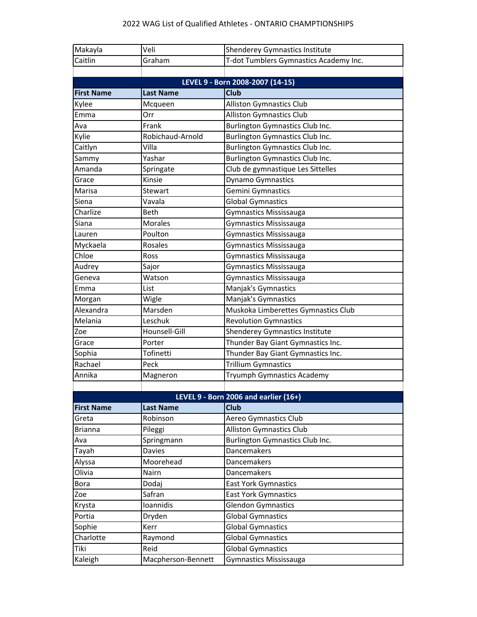| Makayla           | Veli               | Shenderey Gymnastics Institute          |
|-------------------|--------------------|-----------------------------------------|
| Caitlin           | Graham             | T-dot Tumblers Gymnastics Academy Inc.  |
|                   |                    |                                         |
|                   |                    | LEVEL 9 - Born 2008-2007 (14-15)        |
| <b>First Name</b> | <b>Last Name</b>   | <b>Club</b>                             |
| Kylee             | Mcqueen            | <b>Alliston Gymnastics Club</b>         |
| Emma              | Orr                | <b>Alliston Gymnastics Club</b>         |
| Ava               | Frank              | <b>Burlington Gymnastics Club Inc.</b>  |
| Kylie             | Robichaud-Arnold   | Burlington Gymnastics Club Inc.         |
| Caitlyn           | Villa              | Burlington Gymnastics Club Inc.         |
| Sammy             | Yashar             | Burlington Gymnastics Club Inc.         |
| Amanda            | Springate          | Club de gymnastique Les Sittelles       |
| Grace             | Kinsie             | Dynamo Gymnastics                       |
| Marisa            | Stewart            | Gemini Gymnastics                       |
| Siena             | Vavala             | <b>Global Gymnastics</b>                |
| Charlize          | <b>Beth</b>        | Gymnastics Mississauga                  |
| Siana             | <b>Morales</b>     | Gymnastics Mississauga                  |
| Lauren            | Poulton            | Gymnastics Mississauga                  |
| Myckaela          | Rosales            | Gymnastics Mississauga                  |
| Chloe             | Ross               | Gymnastics Mississauga                  |
| Audrey            | Sajor              | <b>Gymnastics Mississauga</b>           |
| Geneva            | Watson             | Gymnastics Mississauga                  |
| Emma              | List               | Manjak's Gymnastics                     |
| Morgan            | Wigle              | Manjak's Gymnastics                     |
| Alexandra         | Marsden            | Muskoka Limberettes Gymnastics Club     |
| Melania           | Leschuk            | <b>Revolution Gymnastics</b>            |
| Zoe               | Hounsell-Gill      | Shenderey Gymnastics Institute          |
| Grace             | Porter             | Thunder Bay Giant Gymnastics Inc.       |
| Sophia            | Tofinetti          | Thunder Bay Giant Gymnastics Inc.       |
| Rachael           | Peck               | Trillium Gymnastics                     |
| Annika            | Magneron           | Tryumph Gymnastics Academy              |
|                   |                    |                                         |
|                   |                    | LEVEL 9 - Born 2006 and earlier $(16+)$ |
| <b>First Name</b> | <b>Last Name</b>   | <b>Club</b>                             |
| Greta             | Robinson           | Aereo Gymnastics Club                   |
| <b>Brianna</b>    | Pileggi            | <b>Alliston Gymnastics Club</b>         |
| Ava               | Springmann         | <b>Burlington Gymnastics Club Inc.</b>  |
| Tayah             | Davies             | Dancemakers                             |
| Alyssa            | Moorehead          | Dancemakers                             |
| Olivia            | Nairn              | Dancemakers                             |
| <b>Bora</b>       | Dodaj              | <b>East York Gymnastics</b>             |
| Zoe               | Safran             | <b>East York Gymnastics</b>             |
| Krysta            | Ioannidis          | <b>Glendon Gymnastics</b>               |
| Portia            | Dryden             | <b>Global Gymnastics</b>                |
| Sophie            | Kerr               | <b>Global Gymnastics</b>                |
| Charlotte         | Raymond            | <b>Global Gymnastics</b>                |
| Tiki              | Reid               | <b>Global Gymnastics</b>                |
| Kaleigh           | Macpherson-Bennett | Gymnastics Mississauga                  |